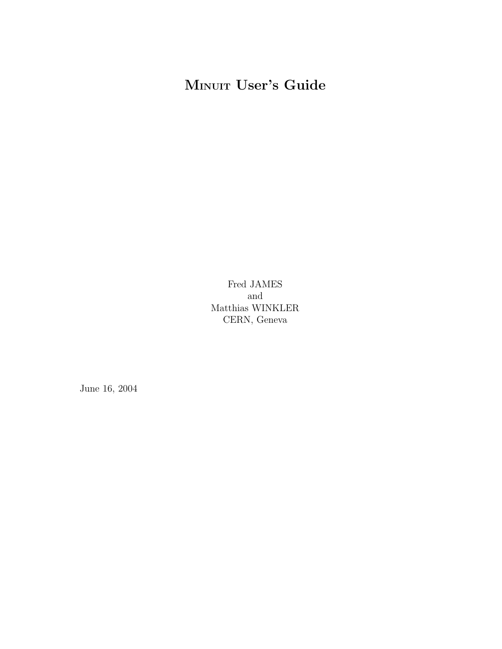# MINUIT User's Guide

Fred JAMES and Matthias WINKLER CERN, Geneva

June 16, 2004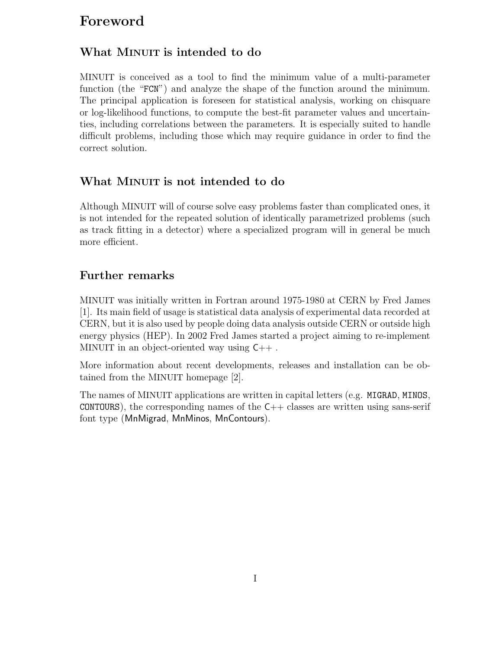# Foreword

## What MINUIT is intended to do

MINUIT is conceived as a tool to find the minimum value of a multi-parameter function (the "FCN") and analyze the shape of the function around the minimum. The principal application is foreseen for statistical analysis, working on chisquare or log-likelihood functions, to compute the best-fit parameter values and uncertainties, including correlations between the parameters. It is especially suited to handle difficult problems, including those which may require guidance in order to find the correct solution.

## What MINUIT is not intended to do

Although MINUIT will of course solve easy problems faster than complicated ones, it is not intended for the repeated solution of identically parametrized problems (such as track fitting in a detector) where a specialized program will in general be much more efficient.

## Further remarks

MINUIT was initially written in Fortran around 1975-1980 at CERN by Fred James [1]. Its main field of usage is statistical data analysis of experimental data recorded at CERN, but it is also used by people doing data analysis outside CERN or outside high energy physics (HEP). In 2002 Fred James started a project aiming to re-implement MINUIT in an object-oriented way using C++ .

More information about recent developments, releases and installation can be obtained from the MINUIT homepage [2].

The names of MINUIT applications are written in capital letters (e.g. MIGRAD, MINOS,  $CONTOUSRS$ , the corresponding names of the  $C++$  classes are written using sans-serif font type (MnMigrad, MnMinos, MnContours).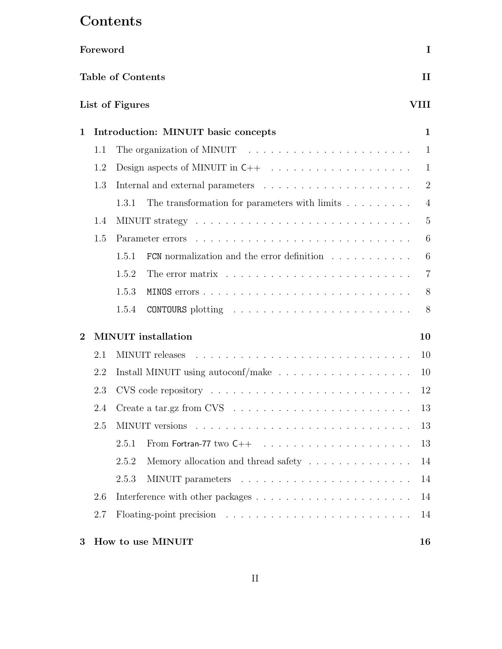# Contents

|          | Foreword |                                     |                                                                                           | I              |  |  |  |  |
|----------|----------|-------------------------------------|-------------------------------------------------------------------------------------------|----------------|--|--|--|--|
|          |          | <b>Table of Contents</b>            |                                                                                           | $\mathbf{I}$   |  |  |  |  |
|          |          | List of Figures                     |                                                                                           | VIII           |  |  |  |  |
| 1        |          | Introduction: MINUIT basic concepts |                                                                                           |                |  |  |  |  |
|          | 1.1      |                                     |                                                                                           | 1              |  |  |  |  |
|          | 1.2      |                                     |                                                                                           | 1              |  |  |  |  |
|          | 1.3      |                                     | Internal and external parameters $\ldots \ldots \ldots \ldots \ldots \ldots \ldots$       | $\overline{2}$ |  |  |  |  |
|          |          | 1.3.1                               | The transformation for parameters with limits $\ldots \ldots \ldots$                      | $\overline{4}$ |  |  |  |  |
|          | 1.4      |                                     |                                                                                           | $\overline{5}$ |  |  |  |  |
|          | 1.5      | Parameter errors                    |                                                                                           | 6              |  |  |  |  |
|          |          | 1.5.1                               | FCN normalization and the error definition                                                | 6              |  |  |  |  |
|          |          | 1.5.2                               |                                                                                           |                |  |  |  |  |
|          | 1.5.3    |                                     |                                                                                           |                |  |  |  |  |
|          |          | 1.5.4                               |                                                                                           | 8              |  |  |  |  |
| $\bf{2}$ |          | <b>MINUIT</b> installation          |                                                                                           | 10             |  |  |  |  |
|          | 2.1      | MINUIT releases                     | <u>. A series and a series and a series and a series and a series and</u>                 | 10             |  |  |  |  |
|          | 2.2      |                                     | Install MINUIT using autoconf/make $\ldots \ldots \ldots \ldots \ldots \ldots$            | 10             |  |  |  |  |
|          | 2.3      |                                     |                                                                                           | 12             |  |  |  |  |
|          | 2.4      |                                     | Create a tar.gz from CVS $\ldots \ldots \ldots \ldots \ldots \ldots \ldots \ldots \ldots$ | 13             |  |  |  |  |
|          | 2.5      |                                     |                                                                                           | 13             |  |  |  |  |
|          |          | 2.5.1                               |                                                                                           | 13             |  |  |  |  |
|          |          | 2.5.2                               | Memory allocation and thread safety $\dots \dots \dots \dots \dots$                       | 14             |  |  |  |  |
|          |          | 2.5.3                               |                                                                                           | 14             |  |  |  |  |
|          | 2.6      |                                     |                                                                                           | 14             |  |  |  |  |
|          | 2.7      |                                     |                                                                                           | 14             |  |  |  |  |
| 3        |          | How to use MINUIT                   |                                                                                           | 16             |  |  |  |  |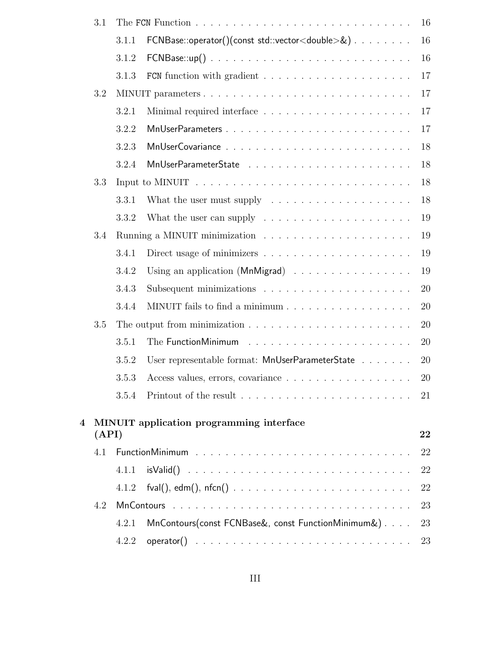|   | 3.1   |       |                                                                                     | 16 |
|---|-------|-------|-------------------------------------------------------------------------------------|----|
|   |       | 3.1.1 | FCNBase::operator()(const std::vector <double>&amp;)</double>                       | 16 |
|   |       | 3.1.2 | $FCNB$ ase::up $() \ldots \ldots \ldots \ldots \ldots \ldots \ldots \ldots \ldots$  | 16 |
|   |       | 3.1.3 |                                                                                     | 17 |
|   | 3.2   |       |                                                                                     | 17 |
|   |       | 3.2.1 |                                                                                     | 17 |
|   |       | 3.2.2 |                                                                                     | 17 |
|   |       | 3.2.3 |                                                                                     | 18 |
|   |       | 3.2.4 |                                                                                     | 18 |
|   | 3.3   |       |                                                                                     | 18 |
|   |       | 3.3.1 | What the user must supply $\dots \dots \dots \dots \dots \dots \dots$               | 18 |
|   |       | 3.3.2 | What the user can supply $\dots \dots \dots \dots \dots \dots \dots \dots$          | 19 |
|   | 3.4   |       |                                                                                     | 19 |
|   |       | 3.4.1 |                                                                                     | 19 |
|   |       | 3.4.2 | Using an application (MnMigrad)                                                     | 19 |
|   |       | 3.4.3 | Subsequent minimizations $\ldots \ldots \ldots \ldots \ldots \ldots \ldots$         | 20 |
|   |       | 3.4.4 |                                                                                     | 20 |
|   | 3.5   |       |                                                                                     | 20 |
|   |       | 3.5.1 |                                                                                     | 20 |
|   |       | 3.5.2 | User representable format: MnUserParameterState                                     | 20 |
|   |       | 3.5.3 | Access values, errors, covariance                                                   | 20 |
|   |       | 3.5.4 | Printout of the result $\ldots \ldots \ldots \ldots \ldots \ldots \ldots \ldots 21$ |    |
| 4 |       |       | MINUIT application programming interface                                            |    |
|   | (API) |       |                                                                                     | 22 |
|   | 4.1   |       |                                                                                     | 22 |
|   |       | 4.1.1 |                                                                                     | 22 |
|   |       | 4.1.2 |                                                                                     | 22 |
|   | 4.2   |       |                                                                                     | 23 |
|   |       | 4.2.1 | MnContours(const FCNBase&, const FunctionMinimum&)                                  | 23 |
|   |       | 4.2.2 |                                                                                     | 23 |
|   |       |       |                                                                                     |    |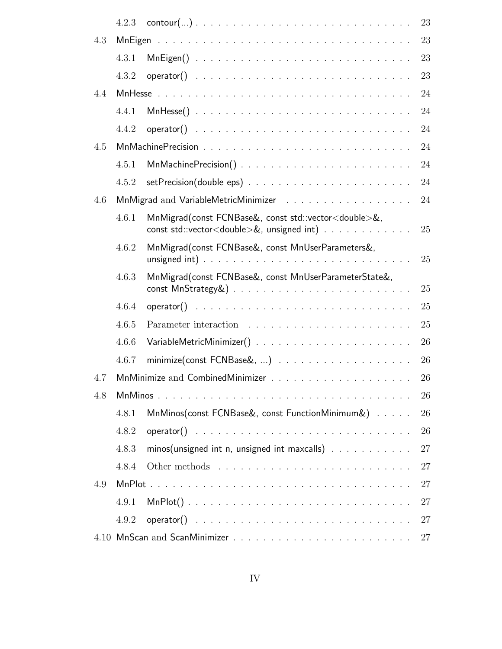|     | 4.2.3 |                                                                                                                               | 23 |
|-----|-------|-------------------------------------------------------------------------------------------------------------------------------|----|
| 4.3 |       |                                                                                                                               | 23 |
|     | 4.3.1 |                                                                                                                               | 23 |
|     | 4.3.2 |                                                                                                                               | 23 |
| 4.4 |       |                                                                                                                               | 24 |
|     | 4.4.1 | $MnHesse()$                                                                                                                   | 24 |
|     | 4.4.2 |                                                                                                                               | 24 |
| 4.5 |       |                                                                                                                               | 24 |
|     | 4.5.1 |                                                                                                                               | 24 |
|     | 4.5.2 |                                                                                                                               | 24 |
| 4.6 |       |                                                                                                                               | 24 |
|     | 4.6.1 | MnMigrad(const FCNBase&, const std::vector <double>&amp;,<br/>const std::vector<double>&amp;, unsigned int)</double></double> | 25 |
|     | 4.6.2 | MnMigrad(const FCNBase&, const MnUserParameters&,                                                                             | 25 |
|     | 4.6.3 | MnMigrad(const FCNBase&, const MnUserParameterState&,                                                                         | 25 |
|     | 4.6.4 |                                                                                                                               | 25 |
|     | 4.6.5 |                                                                                                                               | 25 |
|     | 4.6.6 |                                                                                                                               | 26 |
|     | 4.6.7 |                                                                                                                               | 26 |
| 4.7 |       |                                                                                                                               | 26 |
| 4.8 |       |                                                                                                                               | 26 |
|     | 4.8.1 | MnMinos(const FCNBase&, const FunctionMinimum&)                                                                               | 26 |
|     | 4.8.2 |                                                                                                                               | 26 |
|     | 4.8.3 | minos(unsigned int n, unsigned int maxcalls)                                                                                  | 27 |
|     | 4.8.4 |                                                                                                                               | 27 |
| 4.9 |       |                                                                                                                               | 27 |
|     | 4.9.1 | $MnPlot()$                                                                                                                    | 27 |
|     | 4.9.2 |                                                                                                                               | 27 |
|     |       |                                                                                                                               | 27 |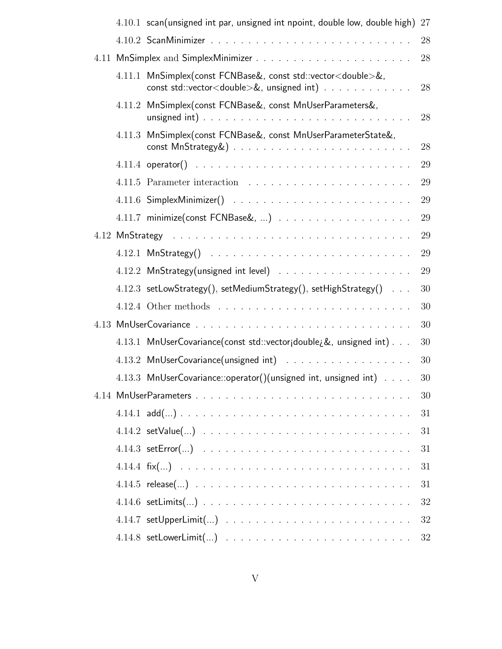|  | 4.10.1 scan(unsigned int par, unsigned int npoint, double low, double high)                                                           | 27 |
|--|---------------------------------------------------------------------------------------------------------------------------------------|----|
|  |                                                                                                                                       | 28 |
|  |                                                                                                                                       | 28 |
|  | 4.11.1 MnSimplex(const FCNBase&, const std::vector <double>&amp;,<br/>const std::vector<double>&amp;, unsigned int)</double></double> | 28 |
|  | 4.11.2 MnSimplex(const FCNBase&, const MnUserParameters&,                                                                             | 28 |
|  | 4.11.3 MnSimplex(const FCNBase&, const MnUserParameterState&,                                                                         | 28 |
|  |                                                                                                                                       | 29 |
|  |                                                                                                                                       | 29 |
|  | $4.11.6$ Simplex Minimizer() $\ldots \ldots \ldots \ldots \ldots \ldots \ldots \ldots$                                                | 29 |
|  |                                                                                                                                       | 29 |
|  |                                                                                                                                       | 29 |
|  |                                                                                                                                       | 29 |
|  |                                                                                                                                       | 29 |
|  | 4.12.3 setLowStrategy(), setMediumStrategy(), setHighStrategy()                                                                       | 30 |
|  |                                                                                                                                       | 30 |
|  |                                                                                                                                       | 30 |
|  | 4.13.1 MnUserCovariance(const std::vectorjdouble¿&, unsigned int)                                                                     | 30 |
|  | 4.13.2 MnUserCovariance(unsigned int)                                                                                                 | 30 |
|  | $4.13.3$ MnUserCovariance::operator()(unsigned int, unsigned int) $\dots$                                                             | 30 |
|  |                                                                                                                                       | 30 |
|  |                                                                                                                                       | 31 |
|  |                                                                                                                                       | 31 |
|  |                                                                                                                                       | 31 |
|  |                                                                                                                                       | 31 |
|  | $4.14.5$ release $() \cdot$                                                                                                           | 31 |
|  |                                                                                                                                       | 32 |
|  | $4.14.7$ setUpperLimit $() \ldots \ldots \ldots \ldots \ldots \ldots \ldots \ldots$                                                   | 32 |
|  |                                                                                                                                       | 32 |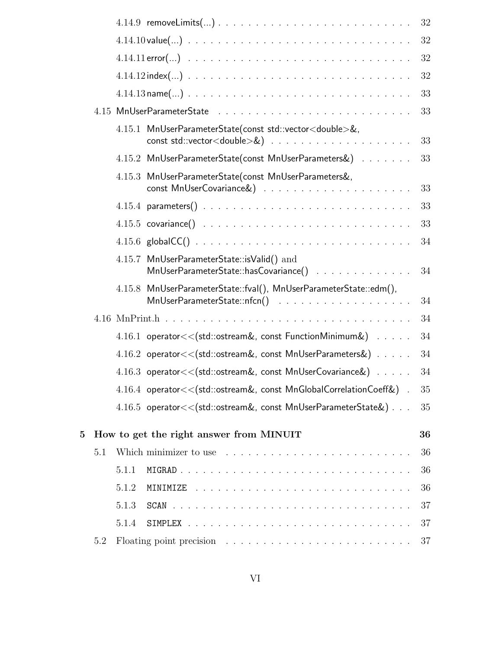|   |     |       | $4.14.9$ removeLimits $() \cdot$                                                                                                                                                                                              | 32     |
|---|-----|-------|-------------------------------------------------------------------------------------------------------------------------------------------------------------------------------------------------------------------------------|--------|
|   |     |       |                                                                                                                                                                                                                               | $32\,$ |
|   |     |       | $4.14.11$ error $() \cdot$                                                                                                                                                                                                    | 32     |
|   |     |       |                                                                                                                                                                                                                               | 32     |
|   |     |       |                                                                                                                                                                                                                               | 33     |
|   |     |       |                                                                                                                                                                                                                               | 33     |
|   |     |       | 4.15.1 MnUserParameterState(const std::vector <double>&amp;,</double>                                                                                                                                                         | 33     |
|   |     |       | 4.15.2 MnUserParameterState(const MnUserParameters&)                                                                                                                                                                          | 33     |
|   |     |       | 4.15.3 MnUserParameterState(const MnUserParameters&,                                                                                                                                                                          | 33     |
|   |     |       |                                                                                                                                                                                                                               | 33     |
|   |     |       | $4.15.5$ covariance() $\ldots \ldots \ldots \ldots \ldots \ldots \ldots \ldots \ldots$                                                                                                                                        | 33     |
|   |     |       |                                                                                                                                                                                                                               | 34     |
|   |     |       | 4.15.7 MnUserParameterState::isValid() and<br>MnUserParameterState::hasCovariance()                                                                                                                                           | 34     |
|   |     |       | 4.15.8 MnUserParameterState::fval(), MnUserParameterState::edm(),                                                                                                                                                             | 34     |
|   |     |       | $4.16$ MnPrint.h                                                                                                                                                                                                              | 34     |
|   |     |       | 4.16.1 operator<< (std::ostream&, const FunctionMinimum&)                                                                                                                                                                     | 34     |
|   |     |       | $4.16.2$ operator $<<$ (std::ostream&, const MnUserParameters&)                                                                                                                                                               | 34     |
|   |     |       | 4.16.3 operator<< (std::ostream&, const MnUserCovariance&)                                                                                                                                                                    | 34     |
|   |     |       | $4.16.4$ operator $<<$ (std::ostream&, const MnGlobalCorrelationCoeff&).                                                                                                                                                      | 35     |
|   |     |       | $4.16.5$ operator $<<$ (std::ostream&, const MnUserParameterState&)                                                                                                                                                           | 35     |
| 5 |     |       | How to get the right answer from MINUIT                                                                                                                                                                                       | 36     |
|   | 5.1 |       | Which minimizer to use recovered and the contract of the set of the set of the set of the set of the set of the set of the set of the set of the set of the set of the set of the set of the set of the set of the set of the | 36     |
|   |     | 5.1.1 |                                                                                                                                                                                                                               | 36     |
|   |     | 5.1.2 |                                                                                                                                                                                                                               | 36     |
|   |     | 5.1.3 |                                                                                                                                                                                                                               | 37     |
|   |     | 5.1.4 |                                                                                                                                                                                                                               | 37     |
|   | 5.2 |       |                                                                                                                                                                                                                               | 37     |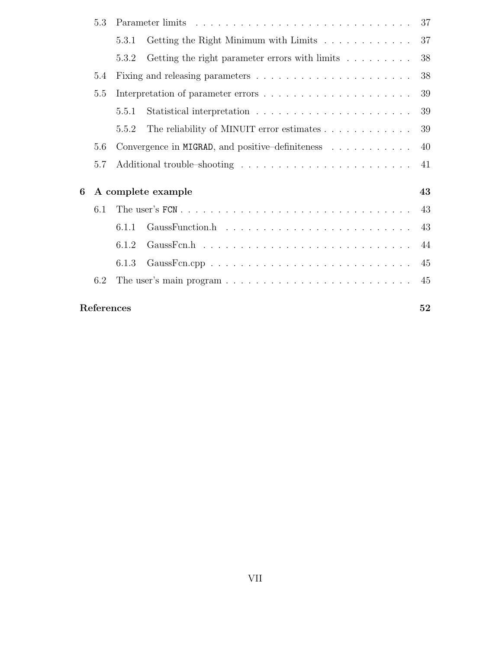|   | 5.3        |       |                                                  | 37 |
|---|------------|-------|--------------------------------------------------|----|
|   |            | 5.3.1 | Getting the Right Minimum with Limits            | 37 |
|   |            | 5.3.2 | Getting the right parameter errors with limits   | 38 |
|   | 5.4        |       |                                                  | 38 |
|   | 5.5        |       |                                                  | 39 |
|   |            | 5.5.1 |                                                  | 39 |
|   |            | 5.5.2 | The reliability of MINUIT error estimates        | 39 |
|   | 5.6        |       | Convergence in MIGRAD, and positive-definiteness | 40 |
|   | 5.7        |       |                                                  | 41 |
| 6 |            |       | A complete example                               | 43 |
|   | 6.1        |       |                                                  | 43 |
|   |            | 6.1.1 |                                                  | 43 |
|   |            | 6.1.2 |                                                  | 44 |
|   |            | 6.1.3 |                                                  | 45 |
|   | 6.2        |       |                                                  | 45 |
|   | References |       |                                                  | 52 |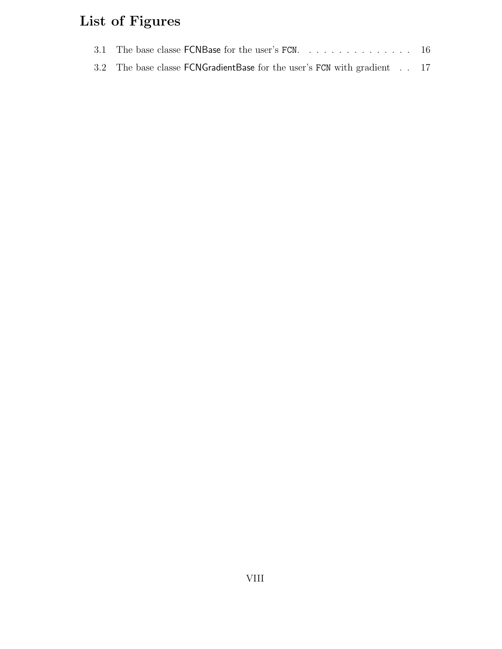# List of Figures

| 3.1 The base classe $FCNB$ as for the user's $FCN$ . 16                  |  |
|--------------------------------------------------------------------------|--|
| 3.2 The base classe FCNGradient Base for the user's FCN with gradient 17 |  |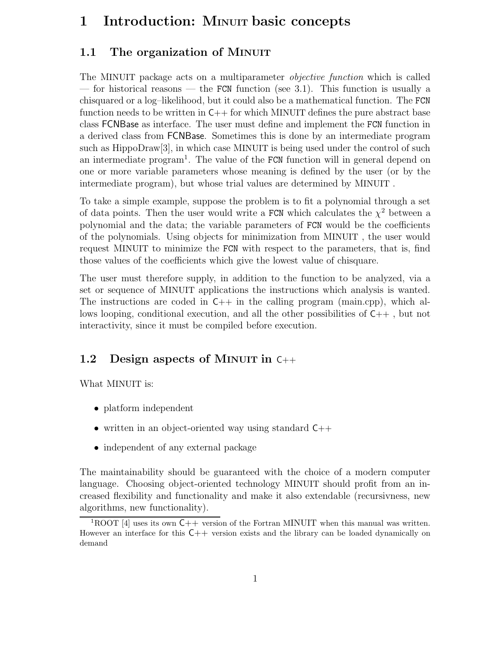# 1 Introduction: MINUIT basic concepts

## 1.1 The organization of MINUIT

The MINUIT package acts on a multiparameter *objective function* which is called — for historical reasons — the FCN function (see 3.1). This function is usually a chisquared or a log–likelihood, but it could also be a mathematical function. The FCN function needs to be written in  $C_{++}$  for which MINUIT defines the pure abstract base class FCNBase as interface. The user must define and implement the FCN function in a derived class from FCNBase. Sometimes this is done by an intermediate program such as HippoDraw[3], in which case MINUIT is being used under the control of such an intermediate program<sup>1</sup>. The value of the FCN function will in general depend on one or more variable parameters whose meaning is defined by the user (or by the intermediate program), but whose trial values are determined by MINUIT .

To take a simple example, suppose the problem is to fit a polynomial through a set of data points. Then the user would write a FCN which calculates the  $\chi^2$  between a polynomial and the data; the variable parameters of FCN would be the coefficients of the polynomials. Using objects for minimization from MINUIT , the user would request MINUIT to minimize the FCN with respect to the parameters, that is, find those values of the coefficients which give the lowest value of chisquare.

The user must therefore supply, in addition to the function to be analyzed, via a set or sequence of MINUIT applications the instructions which analysis is wanted. The instructions are coded in  $C_{++}$  in the calling program (main.cpp), which allows looping, conditional execution, and all the other possibilities of C++ , but not interactivity, since it must be compiled before execution.

## 1.2 Design aspects of MINUIT in C++

What MINUIT is:

- platform independent
- written in an object-oriented way using standard  $C++$
- independent of any external package

The maintainability should be guaranteed with the choice of a modern computer language. Choosing object-oriented technology MINUIT should profit from an increased flexibility and functionality and make it also extendable (recursivness, new algorithms, new functionality).

<sup>&</sup>lt;sup>1</sup>ROOT [4] uses its own  $C++$  version of the Fortran MINUIT when this manual was written. However an interface for this  $C++$  version exists and the library can be loaded dynamically on demand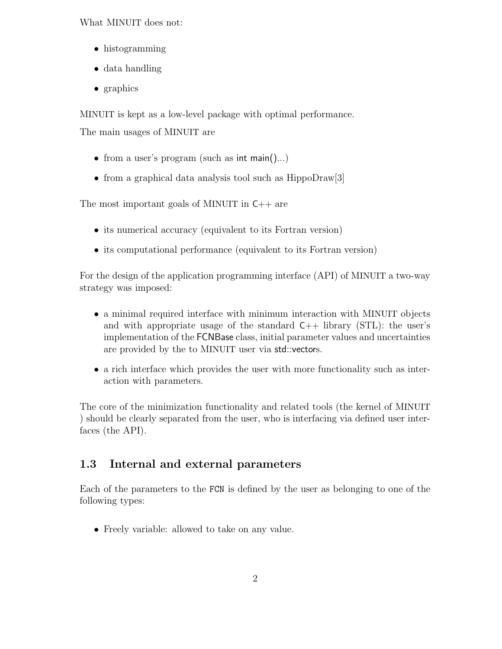What MINUIT does not:

- histogramming
- data handling
- graphics

MINUIT is kept as a low-level package with optimal performance.

The main usages of MINUIT are

- from a user's program (such as int main()...)
- from a graphical data analysis tool such as HippoDraw<sup>[3]</sup>

The most important goals of MINUIT in C++ are

- its numerical accuracy (equivalent to its Fortran version)
- its computational performance (equivalent to its Fortran version)

For the design of the application programming interface (API) of MINUIT a two-way strategy was imposed:

- a minimal required interface with minimum interaction with MINUIT objects and with appropriate usage of the standard  $C_{++}$  library (STL): the user's implementation of the FCNBase class, initial parameter values and uncertainties are provided by the to MINUIT user via std::vectors.
- a rich interface which provides the user with more functionality such as interaction with parameters.

The core of the minimization functionality and related tools (the kernel of MINUIT ) should be clearly separated from the user, who is interfacing via defined user interfaces (the API).

## 1.3 Internal and external parameters

Each of the parameters to the FCN is defined by the user as belonging to one of the following types:

• Freely variable: allowed to take on any value.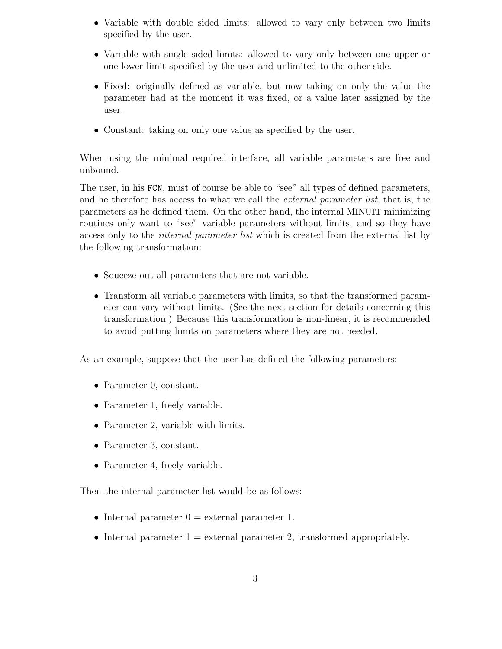- Variable with double sided limits: allowed to vary only between two limits specified by the user.
- Variable with single sided limits: allowed to vary only between one upper or one lower limit specified by the user and unlimited to the other side.
- Fixed: originally defined as variable, but now taking on only the value the parameter had at the moment it was fixed, or a value later assigned by the user.
- Constant: taking on only one value as specified by the user.

When using the minimal required interface, all variable parameters are free and unbound.

The user, in his FCN, must of course be able to "see" all types of defined parameters, and he therefore has access to what we call the *external parameter list*, that is, the parameters as he defined them. On the other hand, the internal MINUIT minimizing routines only want to "see" variable parameters without limits, and so they have access only to the internal parameter list which is created from the external list by the following transformation:

- Squeeze out all parameters that are not variable.
- Transform all variable parameters with limits, so that the transformed parameter can vary without limits. (See the next section for details concerning this transformation.) Because this transformation is non-linear, it is recommended to avoid putting limits on parameters where they are not needed.

As an example, suppose that the user has defined the following parameters:

- Parameter 0, constant.
- Parameter 1, freely variable.
- Parameter 2, variable with limits.
- Parameter 3, constant.
- Parameter 4, freely variable.

Then the internal parameter list would be as follows:

- Internal parameter  $0 =$  external parameter 1.
- Internal parameter  $1 =$  external parameter 2, transformed appropriately.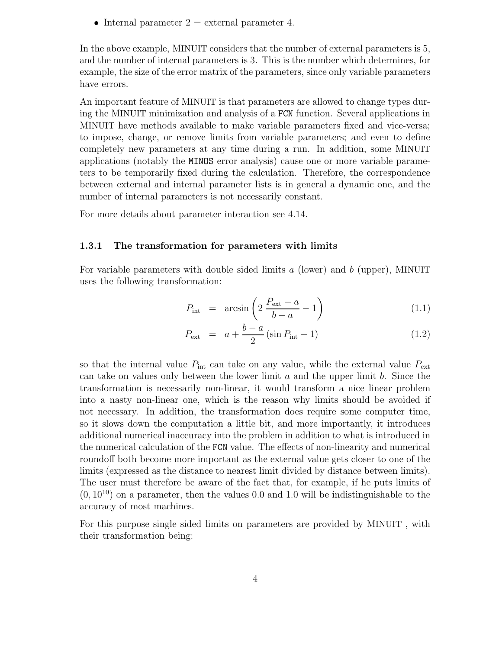• Internal parameter  $2 =$  external parameter 4.

In the above example, MINUIT considers that the number of external parameters is 5, and the number of internal parameters is 3. This is the number which determines, for example, the size of the error matrix of the parameters, since only variable parameters have errors.

An important feature of MINUIT is that parameters are allowed to change types during the MINUIT minimization and analysis of a FCN function. Several applications in MINUIT have methods available to make variable parameters fixed and vice-versa; to impose, change, or remove limits from variable parameters; and even to define completely new parameters at any time during a run. In addition, some MINUIT applications (notably the MINOS error analysis) cause one or more variable parameters to be temporarily fixed during the calculation. Therefore, the correspondence between external and internal parameter lists is in general a dynamic one, and the number of internal parameters is not necessarily constant.

For more details about parameter interaction see 4.14.

#### 1.3.1 The transformation for parameters with limits

For variable parameters with double sided limits  $a$  (lower) and  $b$  (upper), MINUIT uses the following transformation:

$$
P_{\text{int}} = \arcsin\left(2\,\frac{P_{\text{ext}} - a}{b - a} - 1\right) \tag{1.1}
$$

$$
P_{\text{ext}} = a + \frac{b - a}{2} (\sin P_{\text{int}} + 1)
$$
 (1.2)

so that the internal value  $P_{\text{int}}$  can take on any value, while the external value  $P_{\text{ext}}$ can take on values only between the lower limit  $a$  and the upper limit  $b$ . Since the transformation is necessarily non-linear, it would transform a nice linear problem into a nasty non-linear one, which is the reason why limits should be avoided if not necessary. In addition, the transformation does require some computer time, so it slows down the computation a little bit, and more importantly, it introduces additional numerical inaccuracy into the problem in addition to what is introduced in the numerical calculation of the FCN value. The effects of non-linearity and numerical roundoff both become more important as the external value gets closer to one of the limits (expressed as the distance to nearest limit divided by distance between limits). The user must therefore be aware of the fact that, for example, if he puts limits of  $(0, 10^{10})$  on a parameter, then the values 0.0 and 1.0 will be indistinguishable to the accuracy of most machines.

For this purpose single sided limits on parameters are provided by MINUIT , with their transformation being: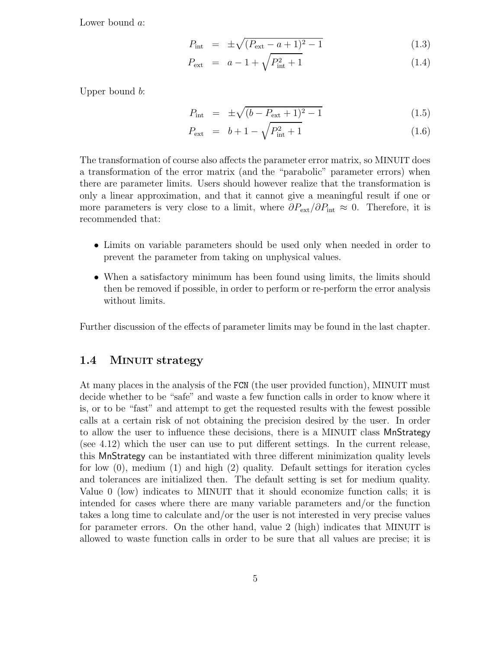Lower bound a:

$$
P_{\text{int}} = \pm \sqrt{(P_{\text{ext}} - a + 1)^2 - 1} \tag{1.3}
$$

$$
P_{\text{ext}} = a - 1 + \sqrt{P_{\text{int}}^2 + 1} \tag{1.4}
$$

Upper bound b:

$$
P_{\text{int}} = \pm \sqrt{(b - P_{\text{ext}} + 1)^2 - 1} \tag{1.5}
$$

$$
P_{\text{ext}} = b + 1 - \sqrt{P_{\text{int}}^2 + 1} \tag{1.6}
$$

The transformation of course also affects the parameter error matrix, so MINUIT does a transformation of the error matrix (and the "parabolic" parameter errors) when there are parameter limits. Users should however realize that the transformation is only a linear approximation, and that it cannot give a meaningful result if one or more parameters is very close to a limit, where  $\partial P_{\text{ext}}/\partial P_{\text{int}} \approx 0$ . Therefore, it is recommended that:

- Limits on variable parameters should be used only when needed in order to prevent the parameter from taking on unphysical values.
- When a satisfactory minimum has been found using limits, the limits should then be removed if possible, in order to perform or re-perform the error analysis without limits.

Further discussion of the effects of parameter limits may be found in the last chapter.

## 1.4 MINUIT strategy

At many places in the analysis of the FCN (the user provided function), MINUIT must decide whether to be "safe" and waste a few function calls in order to know where it is, or to be "fast" and attempt to get the requested results with the fewest possible calls at a certain risk of not obtaining the precision desired by the user. In order to allow the user to influence these decisions, there is a MINUIT class MnStrategy (see 4.12) which the user can use to put different settings. In the current release, this MnStrategy can be instantiated with three different minimization quality levels for low (0), medium (1) and high (2) quality. Default settings for iteration cycles and tolerances are initialized then. The default setting is set for medium quality. Value 0 (low) indicates to MINUIT that it should economize function calls; it is intended for cases where there are many variable parameters and/or the function takes a long time to calculate and/or the user is not interested in very precise values for parameter errors. On the other hand, value 2 (high) indicates that MINUIT is allowed to waste function calls in order to be sure that all values are precise; it is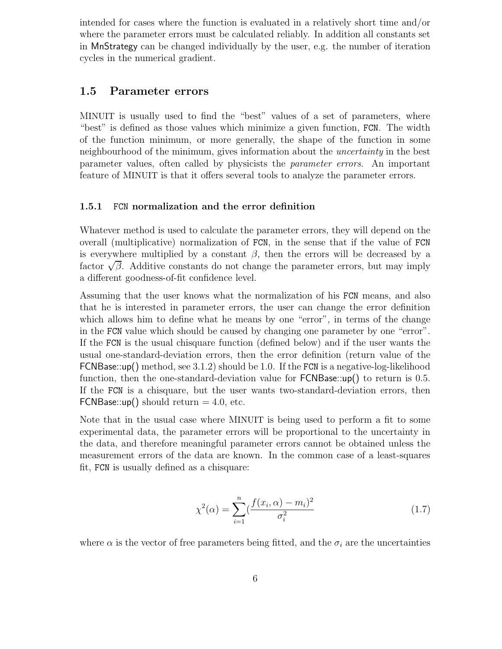intended for cases where the function is evaluated in a relatively short time and/or where the parameter errors must be calculated reliably. In addition all constants set in MnStrategy can be changed individually by the user, e.g. the number of iteration cycles in the numerical gradient.

## 1.5 Parameter errors

MINUIT is usually used to find the "best" values of a set of parameters, where "best" is defined as those values which minimize a given function, FCN. The width of the function minimum, or more generally, the shape of the function in some neighbourhood of the minimum, gives information about the uncertainty in the best parameter values, often called by physicists the parameter errors. An important feature of MINUIT is that it offers several tools to analyze the parameter errors.

#### 1.5.1 FCN normalization and the error definition

Whatever method is used to calculate the parameter errors, they will depend on the overall (multiplicative) normalization of FCN, in the sense that if the value of FCN is everywhere multiplied by a constant  $\beta$ , then the errors will be decreased by a factor  $\sqrt{\beta}$ . Additive constants do not change the parameter errors, but may imply a different goodness-of-fit confidence level.

Assuming that the user knows what the normalization of his FCN means, and also that he is interested in parameter errors, the user can change the error definition which allows him to define what he means by one "error", in terms of the change in the FCN value which should be caused by changing one parameter by one "error". If the FCN is the usual chisquare function (defined below) and if the user wants the usual one-standard-deviation errors, then the error definition (return value of the FCNBase::up() method, see 3.1.2) should be 1.0. If the FCN is a negative-log-likelihood function, then the one-standard-deviation value for **FCNBase**::up() to return is 0.5. If the FCN is a chisquare, but the user wants two-standard-deviation errors, then FCNBase:: $up()$  should return = 4.0, etc.

Note that in the usual case where MINUIT is being used to perform a fit to some experimental data, the parameter errors will be proportional to the uncertainty in the data, and therefore meaningful parameter errors cannot be obtained unless the measurement errors of the data are known. In the common case of a least-squares fit, FCN is usually defined as a chisquare:

$$
\chi^2(\alpha) = \sum_{i=1}^n \left(\frac{f(x_i, \alpha) - m_i}{\sigma_i^2}\right)^2 \tag{1.7}
$$

where  $\alpha$  is the vector of free parameters being fitted, and the  $\sigma_i$  are the uncertainties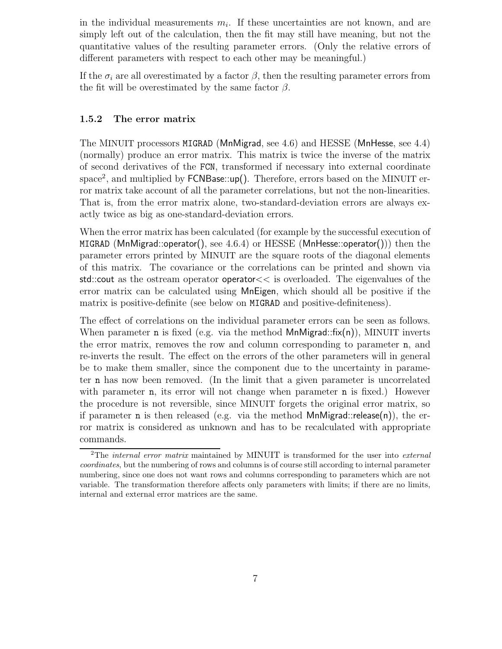in the individual measurements  $m_i$ . If these uncertainties are not known, and are simply left out of the calculation, then the fit may still have meaning, but not the quantitative values of the resulting parameter errors. (Only the relative errors of different parameters with respect to each other may be meaningful.)

If the  $\sigma_i$  are all overestimated by a factor  $\beta$ , then the resulting parameter errors from the fit will be overestimated by the same factor  $\beta$ .

#### 1.5.2 The error matrix

The MINUIT processors MIGRAD (MnMigrad, see 4.6) and HESSE (MnHesse, see 4.4) (normally) produce an error matrix. This matrix is twice the inverse of the matrix of second derivatives of the FCN, transformed if necessary into external coordinate space<sup>2</sup>, and multiplied by FCNBase::up(). Therefore, errors based on the MINUIT error matrix take account of all the parameter correlations, but not the non-linearities. That is, from the error matrix alone, two-standard-deviation errors are always exactly twice as big as one-standard-deviation errors.

When the error matrix has been calculated (for example by the successful execution of MIGRAD (MnMigrad::operator(), see  $4.6.4$ ) or HESSE (MnHesse::operator())) then the parameter errors printed by MINUIT are the square roots of the diagonal elements of this matrix. The covariance or the correlations can be printed and shown via std::cout as the ostream operator operator<< is overloaded. The eigenvalues of the error matrix can be calculated using MnEigen, which should all be positive if the matrix is positive-definite (see below on MIGRAD and positive-definiteness).

The effect of correlations on the individual parameter errors can be seen as follows. When parameter **n** is fixed (e.g. via the method  $MnMigrad::fix(n)$ ), MINUIT inverts the error matrix, removes the row and column corresponding to parameter n, and re-inverts the result. The effect on the errors of the other parameters will in general be to make them smaller, since the component due to the uncertainty in parameter n has now been removed. (In the limit that a given parameter is uncorrelated with parameter **n**, its error will not change when parameter **n** is fixed.) However the procedure is not reversible, since MINUIT forgets the original error matrix, so if parameter **n** is then released (e.g. via the method **MnMigrad**::release(n)), the error matrix is considered as unknown and has to be recalculated with appropriate commands.

<sup>&</sup>lt;sup>2</sup>The *internal error matrix* maintained by MINUIT is transformed for the user into external coordinates, but the numbering of rows and columns is of course still according to internal parameter numbering, since one does not want rows and columns corresponding to parameters which are not variable. The transformation therefore affects only parameters with limits; if there are no limits, internal and external error matrices are the same.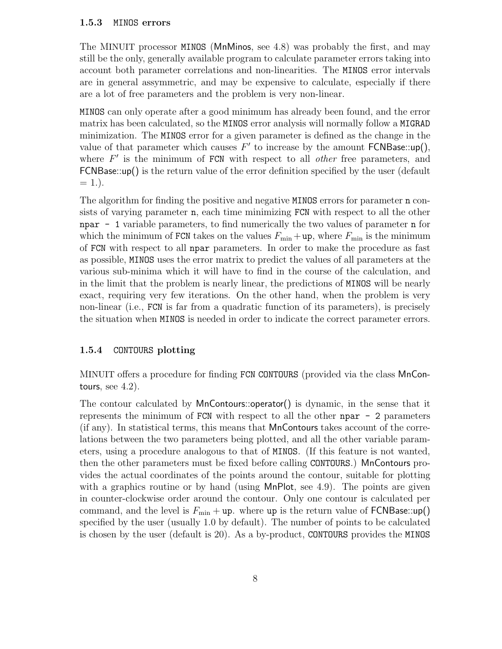#### 1.5.3 MINOS errors

The MINUIT processor MINOS (MnMinos, see 4.8) was probably the first, and may still be the only, generally available program to calculate parameter errors taking into account both parameter correlations and non-linearities. The MINOS error intervals are in general assymmetric, and may be expensive to calculate, especially if there are a lot of free parameters and the problem is very non-linear.

MINOS can only operate after a good minimum has already been found, and the error matrix has been calculated, so the MINOS error analysis will normally follow a MIGRAD minimization. The MINOS error for a given parameter is defined as the change in the value of that parameter which causes  $F'$  to increase by the amount  $FCNB$ ase::up(), where  $F'$  is the minimum of FCN with respect to all *other* free parameters, and FCNBase::up() is the return value of the error definition specified by the user (default  $= 1.$ ).

The algorithm for finding the positive and negative MINOS errors for parameter n consists of varying parameter n, each time minimizing FCN with respect to all the other npar - 1 variable parameters, to find numerically the two values of parameter n for which the minimum of FCN takes on the values  $F_{\min} + \text{up}$ , where  $F_{\min}$  is the minimum of FCN with respect to all npar parameters. In order to make the procedure as fast as possible, MINOS uses the error matrix to predict the values of all parameters at the various sub-minima which it will have to find in the course of the calculation, and in the limit that the problem is nearly linear, the predictions of MINOS will be nearly exact, requiring very few iterations. On the other hand, when the problem is very non-linear (i.e., FCN is far from a quadratic function of its parameters), is precisely the situation when MINOS is needed in order to indicate the correct parameter errors.

#### 1.5.4 CONTOURS plotting

MINUIT offers a procedure for finding FCN CONTOURS (provided via the class MnContours, see  $4.2$ ).

The contour calculated by MnContours::operator() is dynamic, in the sense that it represents the minimum of FCN with respect to all the other npar - 2 parameters (if any). In statistical terms, this means that MnContours takes account of the correlations between the two parameters being plotted, and all the other variable parameters, using a procedure analogous to that of MINOS. (If this feature is not wanted, then the other parameters must be fixed before calling CONTOURS.) MnContours provides the actual coordinates of the points around the contour, suitable for plotting with a graphics routine or by hand (using MnPlot, see 4.9). The points are given in counter-clockwise order around the contour. Only one contour is calculated per command, and the level is  $F_{\text{min}} + \text{up}$ . where up is the return value of FCNBase::up() specified by the user (usually 1.0 by default). The number of points to be calculated is chosen by the user (default is 20). As a by-product, CONTOURS provides the MINOS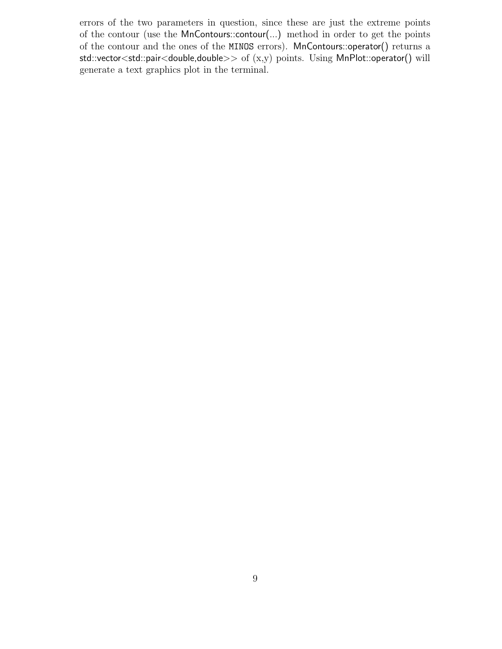errors of the two parameters in question, since these are just the extreme points of the contour (use the MnContours::contour(...) method in order to get the points of the contour and the ones of the MINOS errors). MnContours::operator() returns a std::vector<std::pair<double,double>> of (x,y) points. Using MnPlot::operator() will generate a text graphics plot in the terminal.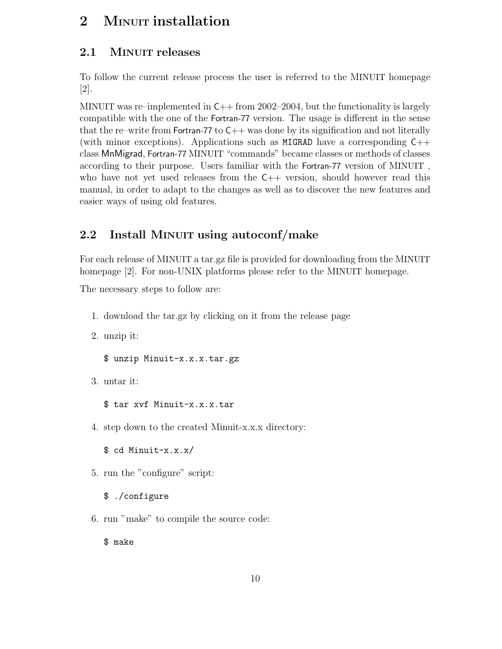# 2 MINUIT installation

## 2.1 MINUIT releases

To follow the current release process the user is referred to the MINUIT homepage [2].

MINUIT was re–implemented in  $C_{++}$  from 2002–2004, but the functionality is largely compatible with the one of the Fortran-77 version. The usage is different in the sense that the re–write from Fortran-77 to  $C_{++}$  was done by its signification and not literally (with minor exceptions). Applications such as MIGRAD have a corresponding  $C_{++}$ class MnMigrad, Fortran-77 MINUIT "commands" became classes or methods of classes according to their purpose. Users familiar with the Fortran-77 version of MINUIT , who have not yet used releases from the  $C++$  version, should however read this manual, in order to adapt to the changes as well as to discover the new features and easier ways of using old features.

## 2.2 Install MINUIT using autoconf/make

For each release of MINUIT a tar.gz file is provided for downloading from the MINUIT homepage [2]. For non-UNIX platforms please refer to the MINUIT homepage.

The necessary steps to follow are:

- 1. download the tar.gz by clicking on it from the release page
- 2. unzip it:

\$ unzip Minuit-x.x.x.tar.gz

3. untar it:

\$ tar xvf Minuit-x.x.x.tar

4. step down to the created Minuit-x.x.x directory:

\$ cd Minuit-x.x.x/

- 5. run the "configure" script:
	- \$ ./configure
- 6. run "make" to compile the source code:

\$ make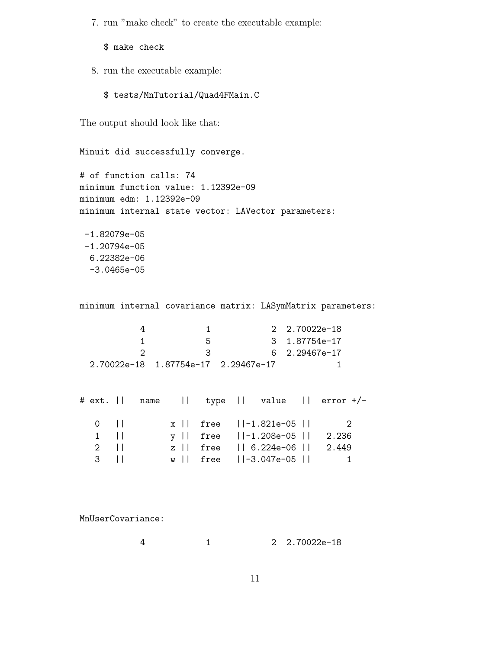7. run "make check" to create the executable example:

\$ make check

- 8. run the executable example:
	- \$ tests/MnTutorial/Quad4FMain.C

The output should look like that:

```
Minuit did successfully converge.
```
# of function calls: 74 minimum function value: 1.12392e-09 minimum edm: 1.12392e-09 minimum internal state vector: LAVector parameters:

-1.82079e-05 -1.20794e-05 6.22382e-06 -3.0465e-05

minimum internal covariance matrix: LASymMatrix parameters:

|    | 2 2.70022e-18 |
|----|---------------|
| 'n |               |
|    | 6 2.29467e-17 |
|    |               |

|                     |  |  | # ext.    name    type    value    error +/- |  |
|---------------------|--|--|----------------------------------------------|--|
| $0$ $11$            |  |  | $x \mid$ free $\mid$ -1.821e-05 $\mid$ 2     |  |
| $1$ $  $            |  |  | $y \mid$ free $  -1.208e-05  $ 2.236         |  |
| $2 \quad \text{II}$ |  |  | z    free    6.224e-06    2.449              |  |
| $3 \mid \mid$       |  |  | $w   $ free $   -3.047e - 05   $ 1           |  |

MnUserCovariance:

4 1 2 2.70022e-18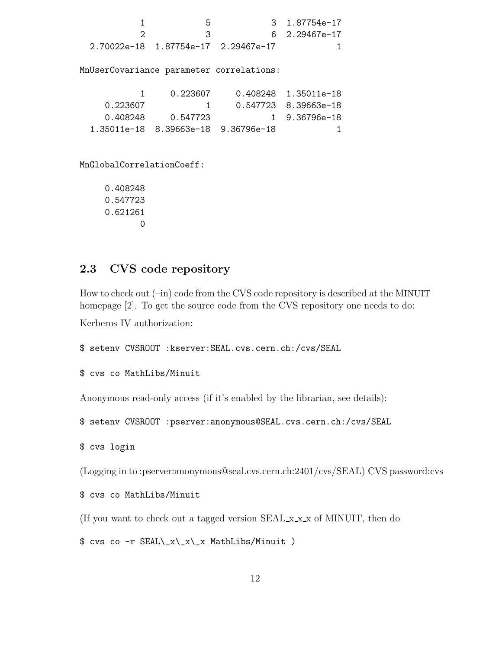1 5 3 1.87754e-17 2 3 6 2.29467e-17 2.70022e-18 1.87754e-17 2.29467e-17 1 MnUserCovariance parameter correlations: 1 0.223607 0.408248 1.35011e-18 0.223607 1 0.547723 8.39663e-18 0.408248 0.547723 1 9.36796e-18 1.35011e-18 8.39663e-18 9.36796e-18 1 MnGlobalCorrelationCoeff: 0.408248 0.547723 0.621261 0

## 2.3 CVS code repository

How to check out  $(-in)$  code from the CVS code repository is described at the MINUIT homepage [2]. To get the source code from the CVS repository one needs to do:

Kerberos IV authorization:

```
$ setenv CVSROOT :kserver:SEAL.cvs.cern.ch:/cvs/SEAL
```

```
$ cvs co MathLibs/Minuit
```
Anonymous read-only access (if it's enabled by the librarian, see details):

\$ setenv CVSROOT :pserver:anonymous@SEAL.cvs.cern.ch:/cvs/SEAL

\$ cvs login

(Logging in to :pserver:anonymous@seal.cvs.cern.ch:2401/cvs/SEAL) CVS password:cvs

```
$ cvs co MathLibs/Minuit
```
(If you want to check out a tagged version SEAL x x x of MINUIT, then do

 $$ cvs co -r SELL\ x\ x\ x\ max MathLibs/Minuit )$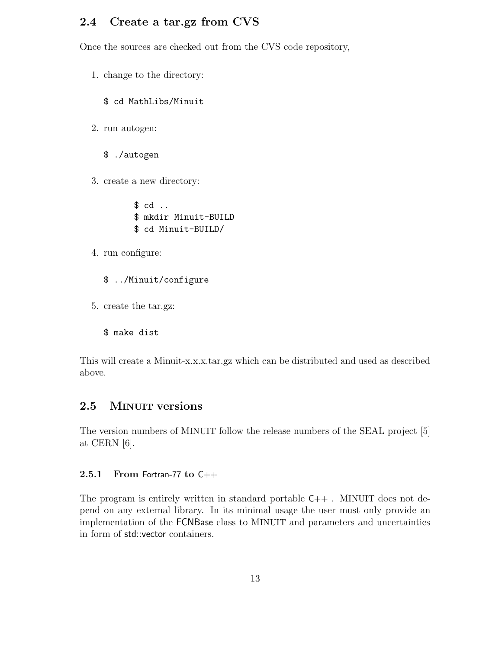## 2.4 Create a tar.gz from CVS

Once the sources are checked out from the CVS code repository,

- 1. change to the directory:
	- \$ cd MathLibs/Minuit
- 2. run autogen:
	- \$ ./autogen
- 3. create a new directory:

\$ cd .. \$ mkdir Minuit-BUILD \$ cd Minuit-BUILD/

- 4. run configure:
	- \$ ../Minuit/configure
- 5. create the tar.gz:

\$ make dist

This will create a Minuit-x.x.x.tar.gz which can be distributed and used as described above.

## 2.5 MINUIT versions

The version numbers of MINUIT follow the release numbers of the SEAL project [5] at CERN [6].

#### 2.5.1 From Fortran-77 to  $C++$

The program is entirely written in standard portable  $C_{++}$ . MINUIT does not depend on any external library. In its minimal usage the user must only provide an implementation of the FCNBase class to MINUIT and parameters and uncertainties in form of std::vector containers.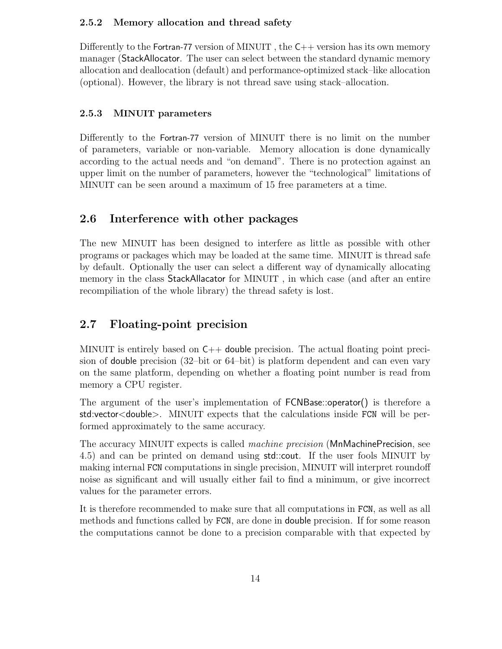#### 2.5.2 Memory allocation and thread safety

Differently to the Fortran-77 version of MINUIT, the  $C_{++}$  version has its own memory manager (StackAllocator. The user can select between the standard dynamic memory allocation and deallocation (default) and performance-optimized stack–like allocation (optional). However, the library is not thread save using stack–allocation.

#### 2.5.3 MINUIT parameters

Differently to the Fortran-77 version of MINUIT there is no limit on the number of parameters, variable or non-variable. Memory allocation is done dynamically according to the actual needs and "on demand". There is no protection against an upper limit on the number of parameters, however the "technological" limitations of MINUIT can be seen around a maximum of 15 free parameters at a time.

## 2.6 Interference with other packages

The new MINUIT has been designed to interfere as little as possible with other programs or packages which may be loaded at the same time. MINUIT is thread safe by default. Optionally the user can select a different way of dynamically allocating memory in the class StackAllacator for MINUIT , in which case (and after an entire recompiliation of the whole library) the thread safety is lost.

## 2.7 Floating-point precision

MINUIT is entirely based on  $C_{++}$  double precision. The actual floating point precision of double precision (32–bit or 64–bit) is platform dependent and can even vary on the same platform, depending on whether a floating point number is read from memory a CPU register.

The argument of the user's implementation of FCNBase::operator() is therefore a std:vector<double>. MINUIT expects that the calculations inside FCN will be performed approximately to the same accuracy.

The accuracy MINUIT expects is called machine precision (MnMachinePrecision, see 4.5) and can be printed on demand using std::cout. If the user fools MINUIT by making internal FCN computations in single precision, MINUIT will interpret roundoff noise as significant and will usually either fail to find a minimum, or give incorrect values for the parameter errors.

It is therefore recommended to make sure that all computations in FCN, as well as all methods and functions called by FCN, are done in double precision. If for some reason the computations cannot be done to a precision comparable with that expected by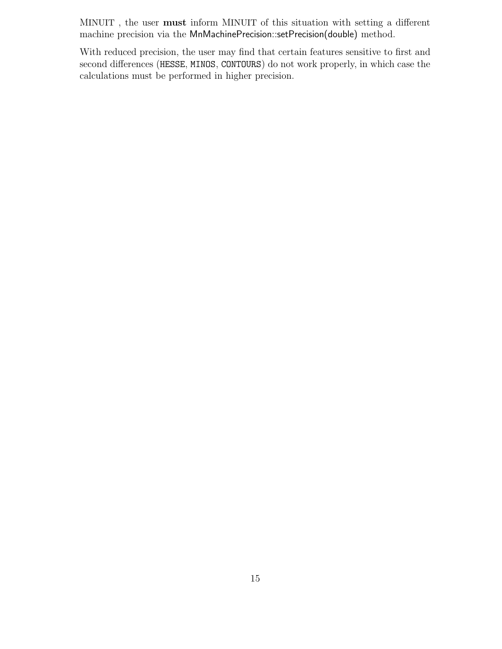MINUIT , the user must inform MINUIT of this situation with setting a different machine precision via the MnMachinePrecision::setPrecision(double) method.

With reduced precision, the user may find that certain features sensitive to first and second differences (HESSE, MINOS, CONTOURS) do not work properly, in which case the calculations must be performed in higher precision.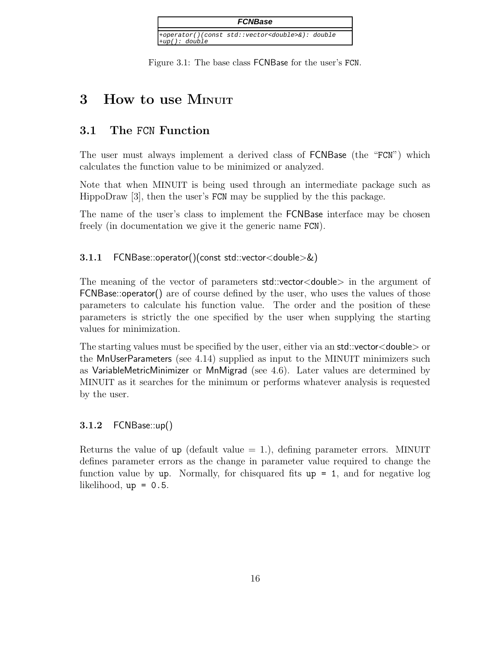

Figure 3.1: The base class FCNBase for the user's FCN.

# 3 How to use MINUIT

## 3.1 The FCN Function

The user must always implement a derived class of FCNBase (the "FCN") which calculates the function value to be minimized or analyzed.

Note that when MINUIT is being used through an intermediate package such as HippoDraw [3], then the user's FCN may be supplied by the this package.

The name of the user's class to implement the FCNBase interface may be chosen freely (in documentation we give it the generic name FCN).

3.1.1 FCNBase::operator()(const std::vector<double>&)

The meaning of the vector of parameters std::vector<double> in the argument of FCNBase::operator() are of course defined by the user, who uses the values of those parameters to calculate his function value. The order and the position of these parameters is strictly the one specified by the user when supplying the starting values for minimization.

The starting values must be specified by the user, either via an std::vector<double> or the MnUserParameters (see 4.14) supplied as input to the MINUIT minimizers such as VariableMetricMinimizer or MnMigrad (see 4.6). Later values are determined by MINUIT as it searches for the minimum or performs whatever analysis is requested by the user.

## 3.1.2 FCNBase::up()

Returns the value of up (default value  $= 1$ .), defining parameter errors. MINUIT defines parameter errors as the change in parameter value required to change the function value by up. Normally, for chisquared fits  $up = 1$ , and for negative log likelihood,  $up = 0.5$ .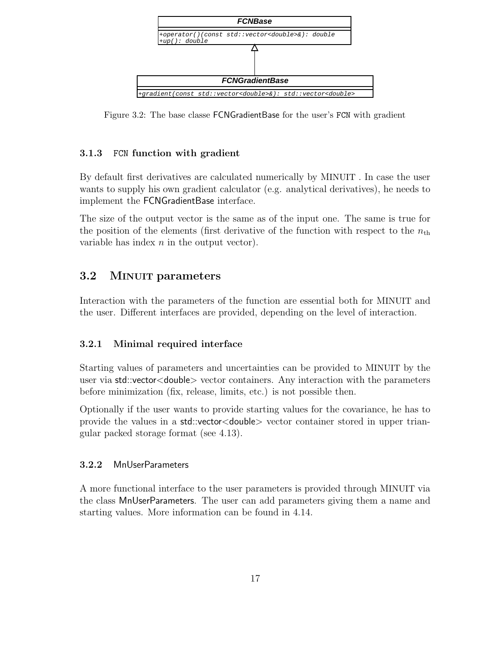

Figure 3.2: The base classe FCNGradientBase for the user's FCN with gradient

## 3.1.3 FCN function with gradient

By default first derivatives are calculated numerically by MINUIT . In case the user wants to supply his own gradient calculator (e.g. analytical derivatives), he needs to implement the FCNGradientBase interface.

The size of the output vector is the same as of the input one. The same is true for the position of the elements (first derivative of the function with respect to the  $n_{\text{th}}$ variable has index  $n$  in the output vector).

## 3.2 MINUIT parameters

Interaction with the parameters of the function are essential both for MINUIT and the user. Different interfaces are provided, depending on the level of interaction.

## 3.2.1 Minimal required interface

Starting values of parameters and uncertainties can be provided to MINUIT by the user via std::vector<double> vector containers. Any interaction with the parameters before minimization (fix, release, limits, etc.) is not possible then.

Optionally if the user wants to provide starting values for the covariance, he has to provide the values in a std::vector<double> vector container stored in upper triangular packed storage format (see 4.13).

## 3.2.2 MnUserParameters

A more functional interface to the user parameters is provided through MINUIT via the class MnUserParameters. The user can add parameters giving them a name and starting values. More information can be found in 4.14.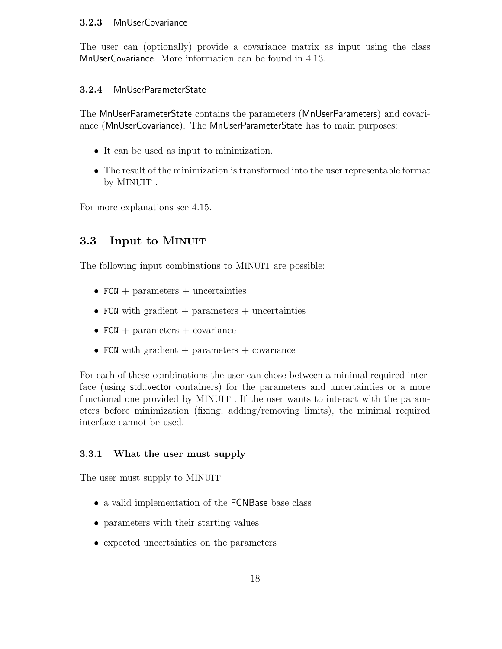#### 3.2.3 MnUserCovariance

The user can (optionally) provide a covariance matrix as input using the class MnUserCovariance. More information can be found in 4.13.

#### 3.2.4 MnUserParameterState

The MnUserParameterState contains the parameters (MnUserParameters) and covariance (MnUserCovariance). The MnUserParameterState has to main purposes:

- It can be used as input to minimization.
- The result of the minimization is transformed into the user representable format by MINUIT .

For more explanations see 4.15.

## 3.3 Input to MINUIT

The following input combinations to MINUIT are possible:

- $FCN + parameters + uncertainties$
- FCN with gradient  $+$  parameters  $+$  uncertainties
- $FCN + parameters + covariance$
- FCN with gradient  $+$  parameters  $+$  covariance

For each of these combinations the user can chose between a minimal required interface (using std::vector containers) for the parameters and uncertainties or a more functional one provided by MINUIT . If the user wants to interact with the parameters before minimization (fixing, adding/removing limits), the minimal required interface cannot be used.

#### 3.3.1 What the user must supply

The user must supply to MINUIT

- a valid implementation of the **FCNBase** base class
- parameters with their starting values
- expected uncertainties on the parameters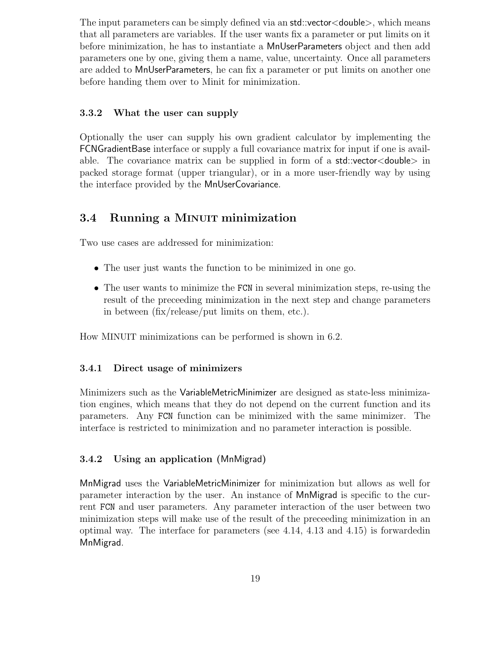The input parameters can be simply defined via an std::vector<double>, which means that all parameters are variables. If the user wants fix a parameter or put limits on it before minimization, he has to instantiate a MnUserParameters object and then add parameters one by one, giving them a name, value, uncertainty. Once all parameters are added to MnUserParameters, he can fix a parameter or put limits on another one before handing them over to Minit for minimization.

#### 3.3.2 What the user can supply

Optionally the user can supply his own gradient calculator by implementing the FCNGradientBase interface or supply a full covariance matrix for input if one is available. The covariance matrix can be supplied in form of a std::vector<double> in packed storage format (upper triangular), or in a more user-friendly way by using the interface provided by the MnUserCovariance.

## 3.4 Running a MINUIT minimization

Two use cases are addressed for minimization:

- The user just wants the function to be minimized in one go.
- The user wants to minimize the FCN in several minimization steps, re-using the result of the preceeding minimization in the next step and change parameters in between (fix/release/put limits on them, etc.).

How MINUIT minimizations can be performed is shown in 6.2.

#### 3.4.1 Direct usage of minimizers

Minimizers such as the VariableMetricMinimizer are designed as state-less minimization engines, which means that they do not depend on the current function and its parameters. Any FCN function can be minimized with the same minimizer. The interface is restricted to minimization and no parameter interaction is possible.

#### 3.4.2 Using an application (MnMigrad)

MnMigrad uses the VariableMetricMinimizer for minimization but allows as well for parameter interaction by the user. An instance of MnMigrad is specific to the current FCN and user parameters. Any parameter interaction of the user between two minimization steps will make use of the result of the preceeding minimization in an optimal way. The interface for parameters (see 4.14, 4.13 and 4.15) is forwardedin MnMigrad.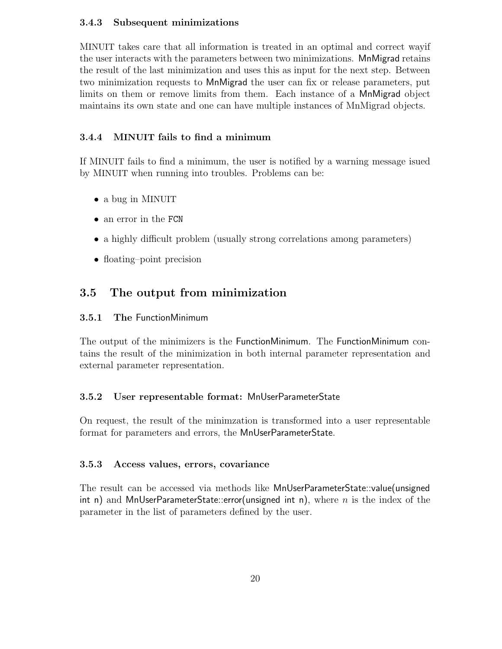#### 3.4.3 Subsequent minimizations

MINUIT takes care that all information is treated in an optimal and correct wayif the user interacts with the parameters between two minimizations. MnMigrad retains the result of the last minimization and uses this as input for the next step. Between two minimization requests to MnMigrad the user can fix or release parameters, put limits on them or remove limits from them. Each instance of a MnMigrad object maintains its own state and one can have multiple instances of MnMigrad objects.

### 3.4.4 MINUIT fails to find a minimum

If MINUIT fails to find a minimum, the user is notified by a warning message isued by MINUIT when running into troubles. Problems can be:

- a bug in MINUIT
- an error in the FCN
- a highly difficult problem (usually strong correlations among parameters)
- floating–point precision

## 3.5 The output from minimization

#### 3.5.1 The FunctionMinimum

The output of the minimizers is the FunctionMinimum. The FunctionMinimum contains the result of the minimization in both internal parameter representation and external parameter representation.

#### 3.5.2 User representable format: MnUserParameterState

On request, the result of the minimzation is transformed into a user representable format for parameters and errors, the MnUserParameterState.

#### 3.5.3 Access values, errors, covariance

The result can be accessed via methods like MnUserParameterState::value(unsigned int n) and MnUserParameterState::error(unsigned int n), where n is the index of the parameter in the list of parameters defined by the user.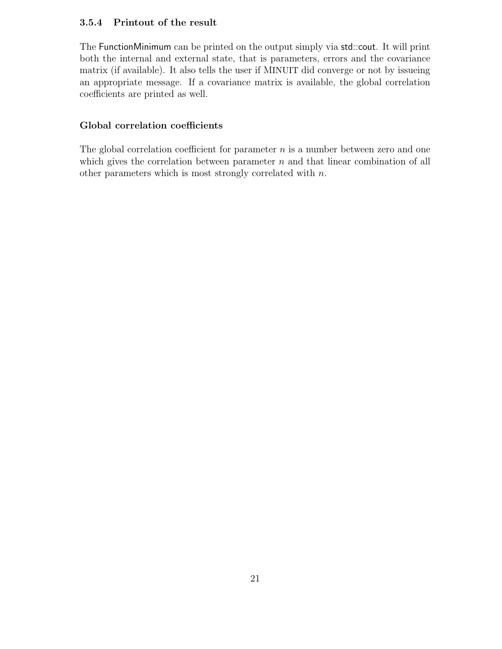### 3.5.4 Printout of the result

The FunctionMinimum can be printed on the output simply via std::cout. It will print both the internal and external state, that is parameters, errors and the covariance matrix (if available). It also tells the user if MINUIT did converge or not by issueing an appropriate message. If a covariance matrix is available, the global correlation coefficients are printed as well.

#### Global correlation coefficients

The global correlation coefficient for parameter  $n$  is a number between zero and one which gives the correlation between parameter  $n$  and that linear combination of all other parameters which is most strongly correlated with n.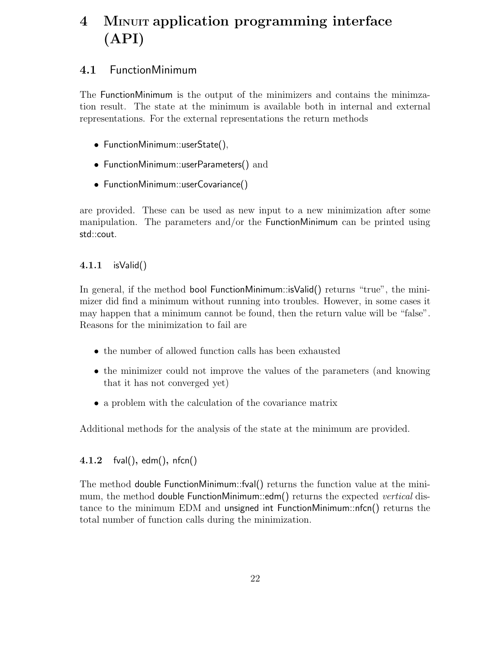# 4 MINUIT application programming interface (API)

## 4.1 FunctionMinimum

The FunctionMinimum is the output of the minimizers and contains the minimzation result. The state at the minimum is available both in internal and external representations. For the external representations the return methods

- FunctionMinimum::userState(),
- FunctionMinimum::userParameters() and
- FunctionMinimum::userCovariance()

are provided. These can be used as new input to a new minimization after some manipulation. The parameters and/or the FunctionMinimum can be printed using std::cout.

### 4.1.1 isValid()

In general, if the method bool FunctionMinimum::isValid() returns "true", the minimizer did find a minimum without running into troubles. However, in some cases it may happen that a minimum cannot be found, then the return value will be "false". Reasons for the minimization to fail are

- the number of allowed function calls has been exhausted
- the minimizer could not improve the values of the parameters (and knowing that it has not converged yet)
- a problem with the calculation of the covariance matrix

Additional methods for the analysis of the state at the minimum are provided.

### 4.1.2 fval(), edm(), nfcn()

The method double FunctionMinimum::fval() returns the function value at the minimum, the method double FunctionMinimum::edm() returns the expected *vertical* distance to the minimum EDM and unsigned int FunctionMinimum::nfcn() returns the total number of function calls during the minimization.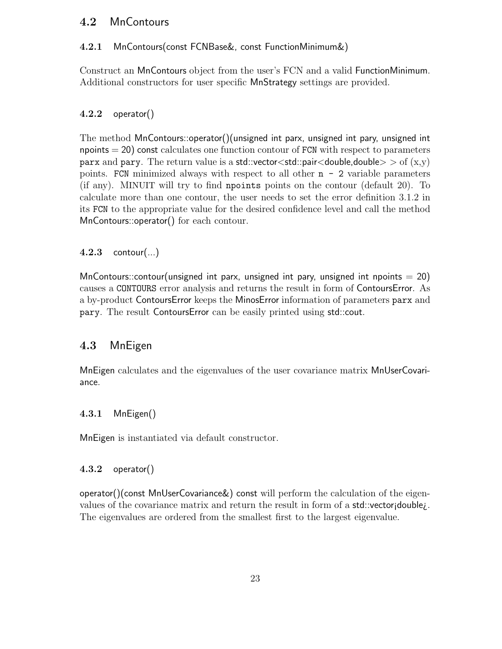## 4.2 MnContours

#### 4.2.1 MnContours(const FCNBase&, const FunctionMinimum&)

Construct an MnContours object from the user's FCN and a valid FunctionMinimum. Additional constructors for user specific MnStrategy settings are provided.

### 4.2.2 operator()

The method MnContours::operator()(unsigned int parx, unsigned int pary, unsigned int  $npoints = 20$  const calculates one function contour of FCN with respect to parameters parx and pary. The return value is a std::vector<std::pair<double,double> > of  $(x,y)$ points. FCN minimized always with respect to all other  $n - 2$  variable parameters (if any). MINUIT will try to find npoints points on the contour (default 20). To calculate more than one contour, the user needs to set the error definition 3.1.2 in its FCN to the appropriate value for the desired confidence level and call the method MnContours::operator() for each contour.

### $4.2.3$  contour(...)

MnContours::contour(unsigned int parx, unsigned int pary, unsigned int npoints  $= 20$ ) causes a CONTOURS error analysis and returns the result in form of ContoursError. As a by-product ContoursError keeps the MinosError information of parameters parx and pary. The result ContoursError can be easily printed using std::cout.

## 4.3 MnEigen

MnEigen calculates and the eigenvalues of the user covariance matrix MnUserCovariance.

#### 4.3.1 MnEigen()

MnEigen is instantiated via default constructor.

#### 4.3.2 operator()

operator()(const MnUserCovariance&) const will perform the calculation of the eigenvalues of the covariance matrix and return the result in form of a std::vector¡double¿. The eigenvalues are ordered from the smallest first to the largest eigenvalue.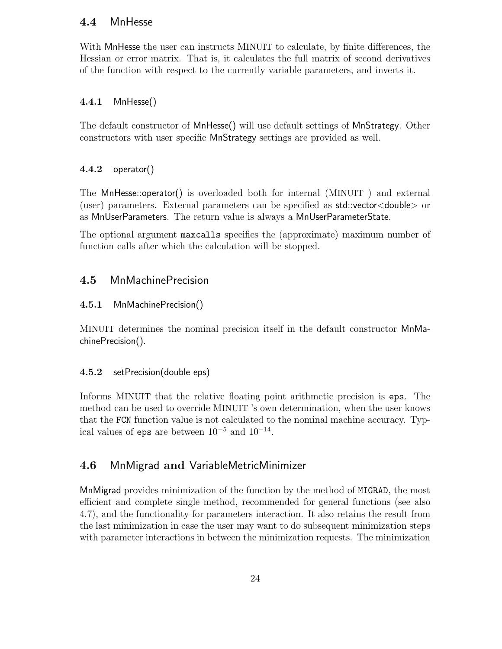## 4.4 MnHesse

With MnHesse the user can instructs MINUIT to calculate, by finite differences, the Hessian or error matrix. That is, it calculates the full matrix of second derivatives of the function with respect to the currently variable parameters, and inverts it.

## 4.4.1 MnHesse()

The default constructor of MnHesse() will use default settings of MnStrategy. Other constructors with user specific MnStrategy settings are provided as well.

## 4.4.2 operator()

The MnHesse::operator() is overloaded both for internal (MINUIT ) and external (user) parameters. External parameters can be specified as std::vector<double> or as MnUserParameters. The return value is always a MnUserParameterState.

The optional argument maxcalls specifies the (approximate) maximum number of function calls after which the calculation will be stopped.

## 4.5 MnMachinePrecision

## 4.5.1 MnMachinePrecision()

MINUIT determines the nominal precision itself in the default constructor MnMachinePrecision().

### 4.5.2 setPrecision(double eps)

Informs MINUIT that the relative floating point arithmetic precision is eps. The method can be used to override MINUIT 's own determination, when the user knows that the FCN function value is not calculated to the nominal machine accuracy. Typical values of eps are between  $10^{-5}$  and  $10^{-14}$ .

## 4.6 MnMigrad and VariableMetricMinimizer

MnMigrad provides minimization of the function by the method of MIGRAD, the most efficient and complete single method, recommended for general functions (see also 4.7), and the functionality for parameters interaction. It also retains the result from the last minimization in case the user may want to do subsequent minimization steps with parameter interactions in between the minimization requests. The minimization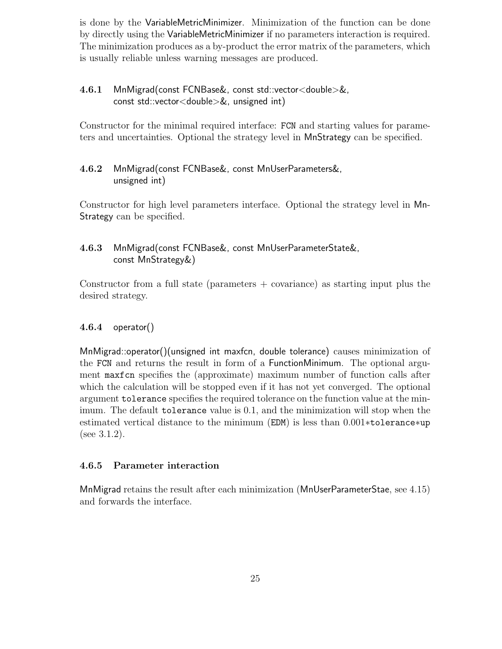is done by the VariableMetricMinimizer. Minimization of the function can be done by directly using the VariableMetricMinimizer if no parameters interaction is required. The minimization produces as a by-product the error matrix of the parameters, which is usually reliable unless warning messages are produced.

## 4.6.1 MnMigrad(const FCNBase&, const std::vector<double>&, const std::vector<double>&, unsigned int)

Constructor for the minimal required interface: FCN and starting values for parameters and uncertainties. Optional the strategy level in MnStrategy can be specified.

## 4.6.2 MnMigrad(const FCNBase&, const MnUserParameters&, unsigned int)

Constructor for high level parameters interface. Optional the strategy level in Mn-Strategy can be specified.

## 4.6.3 MnMigrad(const FCNBase&, const MnUserParameterState&, const MnStrategy&)

Constructor from a full state (parameters  $+$  covariance) as starting input plus the desired strategy.

## 4.6.4 operator()

MnMigrad::operator()(unsigned int maxfcn, double tolerance) causes minimization of the FCN and returns the result in form of a FunctionMinimum. The optional argument maxfcn specifies the (approximate) maximum number of function calls after which the calculation will be stopped even if it has not yet converged. The optional argument tolerance specifies the required tolerance on the function value at the minimum. The default tolerance value is 0.1, and the minimization will stop when the estimated vertical distance to the minimum (EDM) is less than 0.001∗tolerance∗up (see 3.1.2).

## 4.6.5 Parameter interaction

MnMigrad retains the result after each minimization (MnUserParameterStae, see 4.15) and forwards the interface.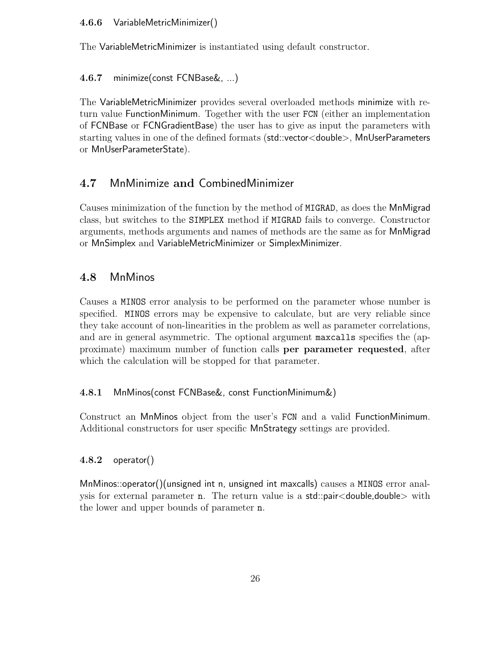#### 4.6.6 VariableMetricMinimizer()

The VariableMetricMinimizer is instantiated using default constructor.

## 4.6.7 minimize(const FCNBase&, ...)

The VariableMetricMinimizer provides several overloaded methods minimize with return value FunctionMinimum. Together with the user FCN (either an implementation of FCNBase or FCNGradientBase) the user has to give as input the parameters with starting values in one of the defined formats (std::vector<double>, MnUserParameters or MnUserParameterState).

## 4.7 MnMinimize and CombinedMinimizer

Causes minimization of the function by the method of MIGRAD, as does the MnMigrad class, but switches to the SIMPLEX method if MIGRAD fails to converge. Constructor arguments, methods arguments and names of methods are the same as for MnMigrad or MnSimplex and VariableMetricMinimizer or SimplexMinimizer.

## 4.8 MnMinos

Causes a MINOS error analysis to be performed on the parameter whose number is specified. MINOS errors may be expensive to calculate, but are very reliable since they take account of non-linearities in the problem as well as parameter correlations, and are in general asymmetric. The optional argument maxcalls specifies the (approximate) maximum number of function calls per parameter requested, after which the calculation will be stopped for that parameter.

### 4.8.1 MnMinos(const FCNBase&, const FunctionMinimum&)

Construct an MnMinos object from the user's FCN and a valid FunctionMinimum. Additional constructors for user specific MnStrategy settings are provided.

### 4.8.2 operator()

MnMinos::operator()(unsigned int n, unsigned int maxcalls) causes a MINOS error analysis for external parameter n. The return value is a std::pair<double,double> with the lower and upper bounds of parameter n.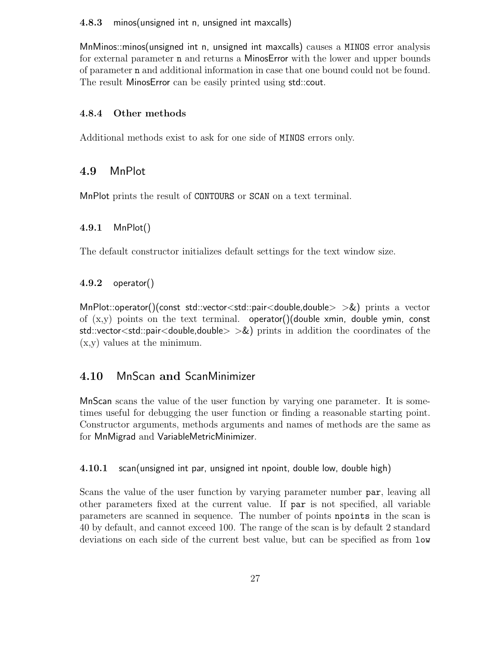#### 4.8.3 minos(unsigned int n, unsigned int maxcalls)

MnMinos::minos(unsigned int n, unsigned int maxcalls) causes a MINOS error analysis for external parameter n and returns a MinosError with the lower and upper bounds of parameter n and additional information in case that one bound could not be found. The result MinosError can be easily printed using std::cout.

#### 4.8.4 Other methods

Additional methods exist to ask for one side of MINOS errors only.

## 4.9 MnPlot

MnPlot prints the result of CONTOURS or SCAN on a text terminal.

#### 4.9.1 MnPlot()

The default constructor initializes default settings for the text window size.

#### $4.9.2$  operator()

MnPlot::operator()(const std::vector<std::pair<double,double>  $>$ &) prints a vector of  $(x,y)$  points on the text terminal. operator()(double xmin, double ymin, const std::vector<std::pair<double,double>  $>\&$ ) prints in addition the coordinates of the (x,y) values at the minimum.

## 4.10 MnScan and ScanMinimizer

MnScan scans the value of the user function by varying one parameter. It is sometimes useful for debugging the user function or finding a reasonable starting point. Constructor arguments, methods arguments and names of methods are the same as for MnMigrad and VariableMetricMinimizer.

4.10.1 scan(unsigned int par, unsigned int npoint, double low, double high)

Scans the value of the user function by varying parameter number par, leaving all other parameters fixed at the current value. If par is not specified, all variable parameters are scanned in sequence. The number of points npoints in the scan is 40 by default, and cannot exceed 100. The range of the scan is by default 2 standard deviations on each side of the current best value, but can be specified as from low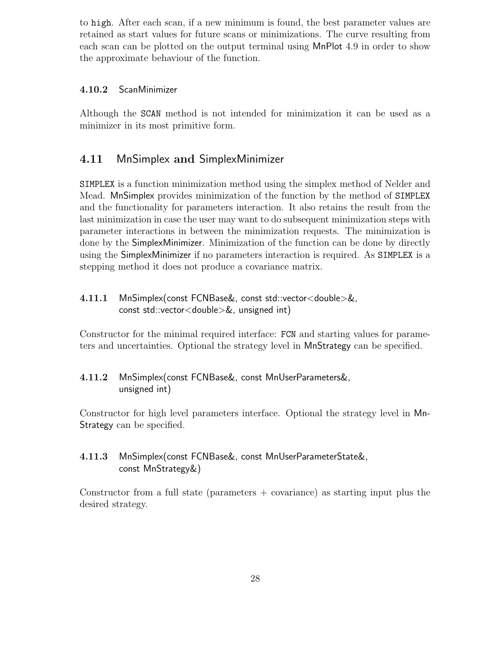to high. After each scan, if a new minimum is found, the best parameter values are retained as start values for future scans or minimizations. The curve resulting from each scan can be plotted on the output terminal using MnPlot 4.9 in order to show the approximate behaviour of the function.

#### 4.10.2 ScanMinimizer

Although the SCAN method is not intended for minimization it can be used as a minimizer in its most primitive form.

## 4.11 MnSimplex and SimplexMinimizer

SIMPLEX is a function minimization method using the simplex method of Nelder and Mead. MnSimplex provides minimization of the function by the method of SIMPLEX and the functionality for parameters interaction. It also retains the result from the last minimization in case the user may want to do subsequent minimization steps with parameter interactions in between the minimization requests. The minimization is done by the SimplexMinimizer. Minimization of the function can be done by directly using the SimplexMinimizer if no parameters interaction is required. As SIMPLEX is a stepping method it does not produce a covariance matrix.

### 4.11.1 MnSimplex(const FCNBase&, const std::vector<double>&, const std::vector<double>&, unsigned int)

Constructor for the minimal required interface: FCN and starting values for parameters and uncertainties. Optional the strategy level in MnStrategy can be specified.

#### 4.11.2 MnSimplex(const FCNBase&, const MnUserParameters&, unsigned int)

Constructor for high level parameters interface. Optional the strategy level in Mn-Strategy can be specified.

## 4.11.3 MnSimplex(const FCNBase&, const MnUserParameterState&, const MnStrategy&)

Constructor from a full state (parameters  $+$  covariance) as starting input plus the desired strategy.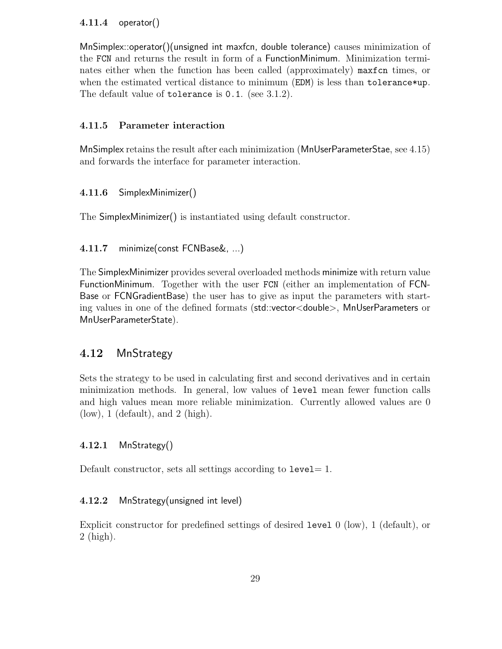#### 4.11.4 operator()

MnSimplex::operator()(unsigned int maxfcn, double tolerance) causes minimization of the FCN and returns the result in form of a FunctionMinimum. Minimization terminates either when the function has been called (approximately) maxfcn times, or when the estimated vertical distance to minimum (EDM) is less than tolerance \*up. The default value of tolerance is 0.1. (see 3.1.2).

#### 4.11.5 Parameter interaction

MnSimplex retains the result after each minimization (MnUserParameterStae, see 4.15) and forwards the interface for parameter interaction.

#### 4.11.6 SimplexMinimizer()

The SimplexMinimizer() is instantiated using default constructor.

#### 4.11.7 minimize(const FCNBase&, ...)

The SimplexMinimizer provides several overloaded methods minimize with return value FunctionMinimum. Together with the user FCN (either an implementation of FCN-Base or FCNGradientBase) the user has to give as input the parameters with starting values in one of the defined formats (std::vector<double>, MnUserParameters or MnUserParameterState).

## 4.12 MnStrategy

Sets the strategy to be used in calculating first and second derivatives and in certain minimization methods. In general, low values of level mean fewer function calls and high values mean more reliable minimization. Currently allowed values are 0  $(low)$ , 1 (default), and 2 (high).

#### 4.12.1 MnStrategy()

Default constructor, sets all settings according to  $level = 1$ .

#### 4.12.2 MnStrategy(unsigned int level)

Explicit constructor for predefined settings of desired level 0 (low), 1 (default), or 2 (high).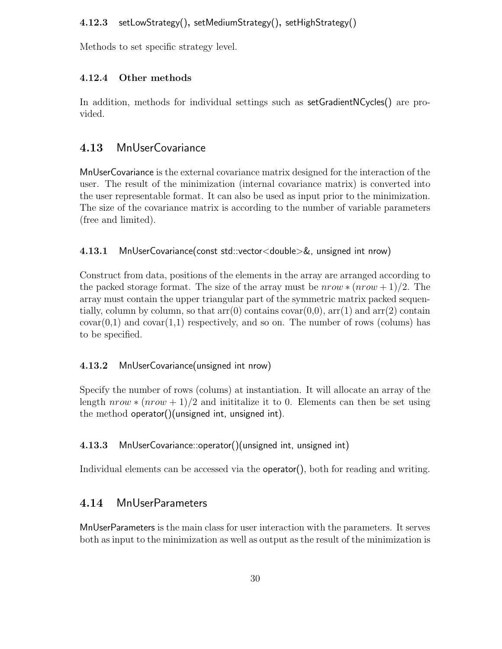### 4.12.3 setLowStrategy(), setMediumStrategy(), setHighStrategy()

Methods to set specific strategy level.

#### 4.12.4 Other methods

In addition, methods for individual settings such as setGradientNCycles() are provided.

## 4.13 MnUserCovariance

MnUserCovariance is the external covariance matrix designed for the interaction of the user. The result of the minimization (internal covariance matrix) is converted into the user representable format. It can also be used as input prior to the minimization. The size of the covariance matrix is according to the number of variable parameters (free and limited).

#### 4.13.1 MnUserCovariance(const std::vector<double>&, unsigned int nrow)

Construct from data, positions of the elements in the array are arranged according to the packed storage format. The size of the array must be  $nrow * (nrow + 1)/2$ . The array must contain the upper triangular part of the symmetric matrix packed sequentially, column by column, so that  $arr(0)$  contains  $covar(0,0)$ ,  $arr(1)$  and  $arr(2)$  contain  $covar(0,1)$  and  $covar(1,1)$  respectively, and so on. The number of rows (colums) has to be specified.

#### 4.13.2 MnUserCovariance(unsigned int nrow)

Specify the number of rows (colums) at instantiation. It will allocate an array of the length  $nrow * (nrow + 1)/2$  and inititalize it to 0. Elements can then be set using the method operator()(unsigned int, unsigned int).

#### 4.13.3 MnUserCovariance::operator()(unsigned int, unsigned int)

Individual elements can be accessed via the **operator**(), both for reading and writing.

## 4.14 MnUserParameters

MnUserParameters is the main class for user interaction with the parameters. It serves both as input to the minimization as well as output as the result of the minimization is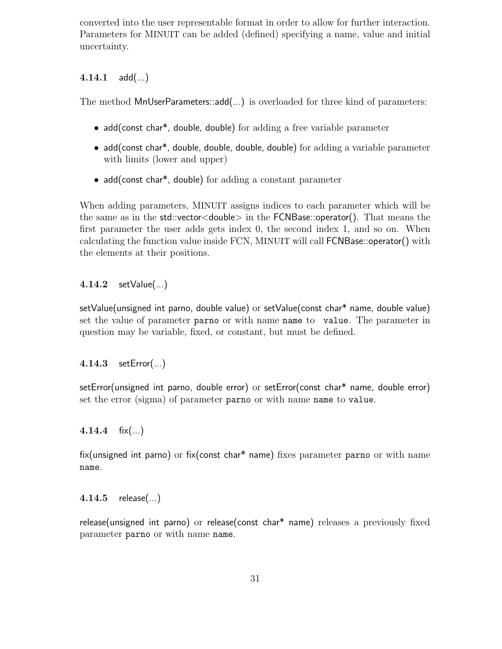converted into the user representable format in order to allow for further interaction. Parameters for MINUIT can be added (defined) specifying a name, value and initial uncertainty.

## $4.14.1$  add $(...)$

The method MnUserParameters::add(...) is overloaded for three kind of parameters:

- add(const char<sup>\*</sup>, double, double) for adding a free variable parameter
- add(const char<sup>\*</sup>, double, double, double, double) for adding a variable parameter with limits (lower and upper)
- add(const char<sup>\*</sup>, double) for adding a constant parameter

When adding parameters, MINUIT assigns indices to each parameter which will be the same as in the std::vector<double> in the FCNBase::operator(). That means the first parameter the user adds gets index 0, the second index 1, and so on. When calculating the function value inside FCN, MINUIT will call FCNBase::operator() with the elements at their positions.

4.14.2 setValue(...)

setValue(unsigned int parno, double value) or setValue(const char\* name, double value) set the value of parameter parno or with name name to value. The parameter in question may be variable, fixed, or constant, but must be defined.

## 4.14.3 setError(...)

setError(unsigned int parno, double error) or setError(const char\* name, double error) set the error (sigma) of parameter parno or with name name to value.

4.14.4  $fix(...)$ 

fix(unsigned int parno) or fix(const char\* name) fixes parameter parno or with name name.

4.14.5 release(...)

release(unsigned int parno) or release(const char\* name) releases a previously fixed parameter parno or with name name.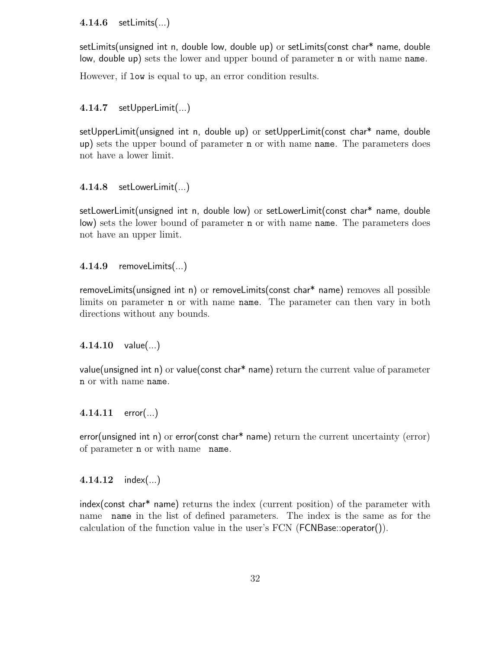#### 4.14.6 setLimits(...)

setLimits(unsigned int n, double low, double up) or setLimits(const char\* name, double low, double up) sets the lower and upper bound of parameter n or with name name.

However, if low is equal to up, an error condition results.

#### 4.14.7 setUpperLimit(...)

setUpperLimit(unsigned int n, double up) or setUpperLimit(const char\* name, double up) sets the upper bound of parameter n or with name name. The parameters does not have a lower limit.

#### 4.14.8 setLowerLimit(...)

setLowerLimit(unsigned int n, double low) or setLowerLimit(const char\* name, double low) sets the lower bound of parameter n or with name name. The parameters does not have an upper limit.

#### 4.14.9 removeLimits(...)

removeLimits(unsigned int n) or removeLimits(const char\* name) removes all possible limits on parameter **n** or with name **name**. The parameter can then vary in both directions without any bounds.

#### 4.14.10  $value(...)$

value(unsigned int n) or value(const char\* name) return the current value of parameter n or with name name.

#### 4.14.11  $error(...)$

error(unsigned int n) or error(const char\* name) return the current uncertainty (error) of parameter n or with name name.

#### 4.14.12  $index(...)$

index(const char\* name) returns the index (current position) of the parameter with name name in the list of defined parameters. The index is the same as for the calculation of the function value in the user's FCN (FCNBase::operator()).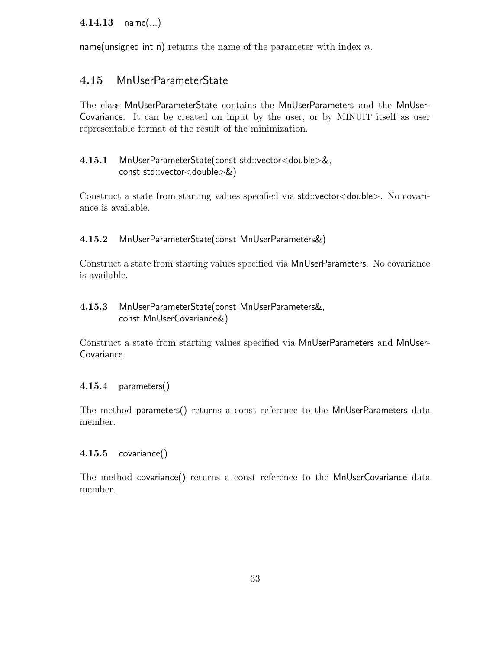## 4.14.13 name(...)

name(unsigned int n) returns the name of the parameter with index  $n$ .

## 4.15 MnUserParameterState

The class MnUserParameterState contains the MnUserParameters and the MnUser-Covariance. It can be created on input by the user, or by MINUIT itself as user representable format of the result of the minimization.

#### 4.15.1 MnUserParameterState(const std::vector<double>&, const std::vector<double>&)

Construct a state from starting values specified via std::vector<double>. No covariance is available.

#### 4.15.2 MnUserParameterState(const MnUserParameters&)

Construct a state from starting values specified via MnUserParameters. No covariance is available.

## 4.15.3 MnUserParameterState(const MnUserParameters&, const MnUserCovariance&)

Construct a state from starting values specified via MnUserParameters and MnUser-Covariance.

#### 4.15.4 parameters()

The method parameters() returns a const reference to the MnUserParameters data member.

#### 4.15.5 covariance()

The method covariance() returns a const reference to the MnUserCovariance data member.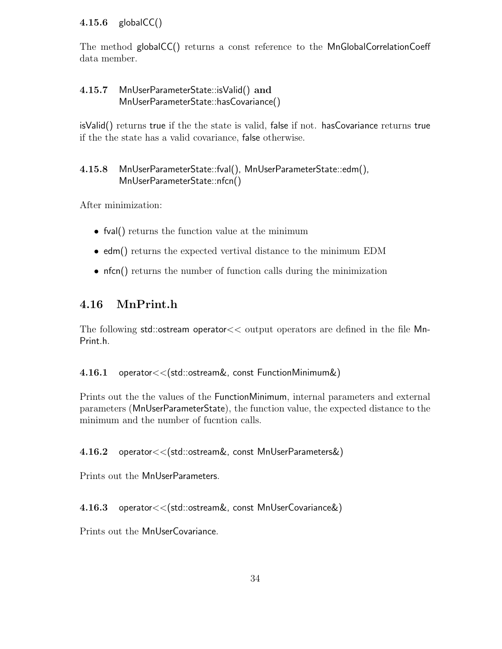## 4.15.6 globalCC()

The method globalCC() returns a const reference to the MnGlobalCorrelationCoeff data member.

## 4.15.7 MnUserParameterState::isValid() and MnUserParameterState::hasCovariance()

isValid() returns true if the the state is valid, false if not. hasCovariance returns true if the the state has a valid covariance, false otherwise.

## 4.15.8 MnUserParameterState::fval(), MnUserParameterState::edm(), MnUserParameterState::nfcn()

After minimization:

- full returns the function value at the minimum
- edm() returns the expected vertival distance to the minimum EDM
- nfcn() returns the number of function calls during the minimization

## 4.16 MnPrint.h

The following std::ostream operator<< output operators are defined in the file Mn-Print.h.

### 4.16.1 operator<<(std::ostream&, const FunctionMinimum&)

Prints out the the values of the FunctionMinimum, internal parameters and external parameters (MnUserParameterState), the function value, the expected distance to the minimum and the number of fucntion calls.

### 4.16.2 operator<<(std::ostream&, const MnUserParameters&)

Prints out the MnUserParameters.

4.16.3 operator<<(std::ostream&, const MnUserCovariance&)

Prints out the MnUserCovariance.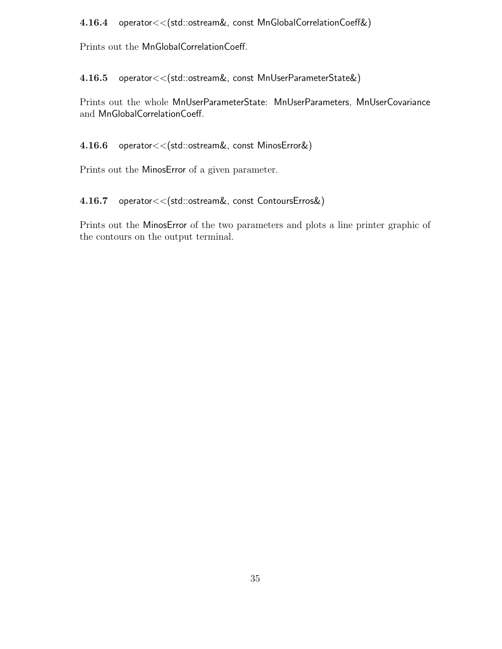#### 4.16.4 operator<<(std::ostream&, const MnGlobalCorrelationCoeff&)

Prints out the MnGlobalCorrelationCoeff.

4.16.5 operator<<(std::ostream&, const MnUserParameterState&)

Prints out the whole MnUserParameterState: MnUserParameters, MnUserCovariance and MnGlobalCorrelationCoeff.

4.16.6 operator<<(std::ostream&, const MinosError&)

Prints out the MinosError of a given parameter.

## 4.16.7 operator<<(std::ostream&, const ContoursErros&)

Prints out the MinosError of the two parameters and plots a line printer graphic of the contours on the output terminal.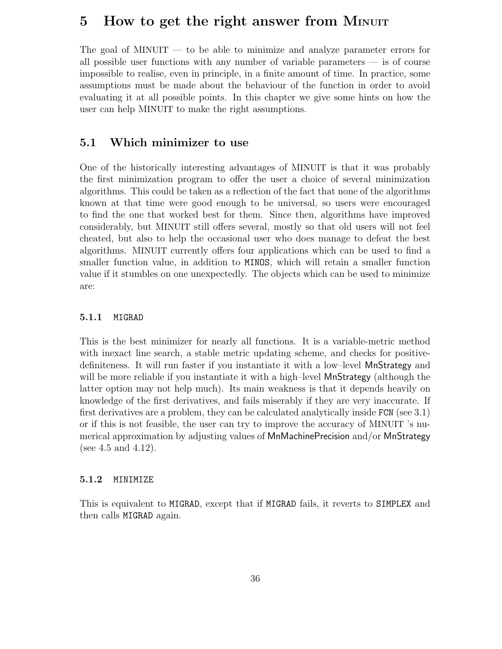## 5 How to get the right answer from MINUIT

The goal of MINUIT — to be able to minimize and analyze parameter errors for all possible user functions with any number of variable parameters — is of course impossible to realise, even in principle, in a finite amount of time. In practice, some assumptions must be made about the behaviour of the function in order to avoid evaluating it at all possible points. In this chapter we give some hints on how the user can help MINUIT to make the right assumptions.

## 5.1 Which minimizer to use

One of the historically interesting advantages of MINUIT is that it was probably the first minimization program to offer the user a choice of several minimization algorithms. This could be taken as a reflection of the fact that none of the algorithms known at that time were good enough to be universal, so users were encouraged to find the one that worked best for them. Since then, algorithms have improved considerably, but MINUIT still offers several, mostly so that old users will not feel cheated, but also to help the occasional user who does manage to defeat the best algorithms. MINUIT currently offers four applications which can be used to find a smaller function value, in addition to MINOS, which will retain a smaller function value if it stumbles on one unexpectedly. The objects which can be used to minimize are:

#### 5.1.1 MIGRAD

This is the best minimizer for nearly all functions. It is a variable-metric method with inexact line search, a stable metric updating scheme, and checks for positivedefiniteness. It will run faster if you instantiate it with a low–level MnStrategy and will be more reliable if you instantiate it with a high-level **MnStrategy** (although the latter option may not help much). Its main weakness is that it depends heavily on knowledge of the first derivatives, and fails miserably if they are very inaccurate. If first derivatives are a problem, they can be calculated analytically inside FCN (see 3.1) or if this is not feasible, the user can try to improve the accuracy of MINUIT 's numerical approximation by adjusting values of MnMachinePrecision and/or MnStrategy (see 4.5 and 4.12).

#### 5.1.2 MINIMIZE

This is equivalent to MIGRAD, except that if MIGRAD fails, it reverts to SIMPLEX and then calls MIGRAD again.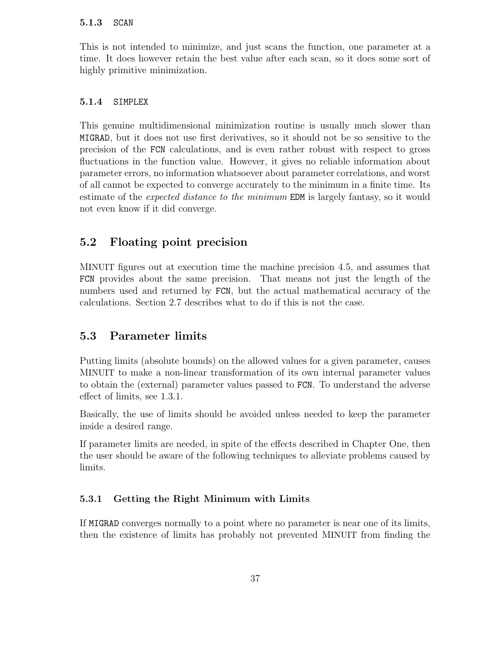#### 5.1.3 SCAN

This is not intended to minimize, and just scans the function, one parameter at a time. It does however retain the best value after each scan, so it does some sort of highly primitive minimization.

#### 5.1.4 SIMPLEX

This genuine multidimensional minimization routine is usually much slower than MIGRAD, but it does not use first derivatives, so it should not be so sensitive to the precision of the FCN calculations, and is even rather robust with respect to gross fluctuations in the function value. However, it gives no reliable information about parameter errors, no information whatsoever about parameter correlations, and worst of all cannot be expected to converge accurately to the minimum in a finite time. Its estimate of the expected distance to the minimum EDM is largely fantasy, so it would not even know if it did converge.

## 5.2 Floating point precision

MINUIT figures out at execution time the machine precision 4.5, and assumes that FCN provides about the same precision. That means not just the length of the numbers used and returned by FCN, but the actual mathematical accuracy of the calculations. Section 2.7 describes what to do if this is not the case.

#### 5.3 Parameter limits

Putting limits (absolute bounds) on the allowed values for a given parameter, causes MINUIT to make a non-linear transformation of its own internal parameter values to obtain the (external) parameter values passed to FCN. To understand the adverse effect of limits, see 1.3.1.

Basically, the use of limits should be avoided unless needed to keep the parameter inside a desired range.

If parameter limits are needed, in spite of the effects described in Chapter One, then the user should be aware of the following techniques to alleviate problems caused by limits.

#### 5.3.1 Getting the Right Minimum with Limits

If MIGRAD converges normally to a point where no parameter is near one of its limits, then the existence of limits has probably not prevented MINUIT from finding the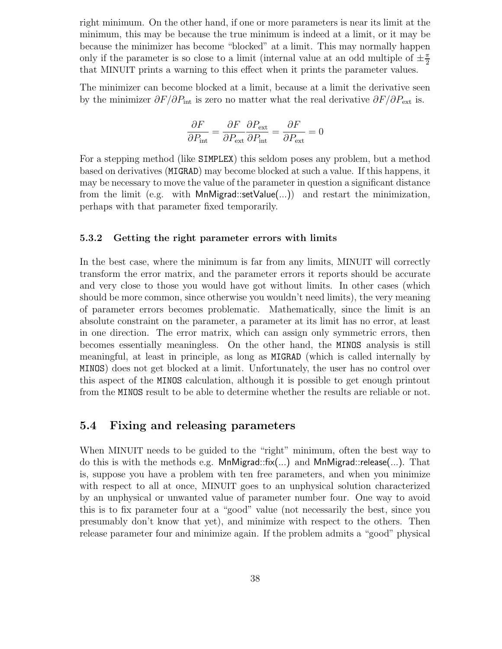right minimum. On the other hand, if one or more parameters is near its limit at the minimum, this may be because the true minimum is indeed at a limit, or it may be because the minimizer has become "blocked" at a limit. This may normally happen only if the parameter is so close to a limit (internal value at an odd multiple of  $\pm \frac{\pi}{2}$  $\overline{2}$ that MINUIT prints a warning to this effect when it prints the parameter values.

The minimizer can become blocked at a limit, because at a limit the derivative seen by the minimizer  $\partial F/\partial P_{\text{int}}$  is zero no matter what the real derivative  $\partial F/\partial P_{\text{ext}}$  is.

$$
\frac{\partial F}{\partial P_{\text{int}}} = \frac{\partial F}{\partial P_{\text{ext}}} \frac{\partial P_{\text{ext}}}{\partial P_{\text{int}}} = \frac{\partial F}{\partial P_{\text{ext}}} = 0
$$

For a stepping method (like SIMPLEX) this seldom poses any problem, but a method based on derivatives (MIGRAD) may become blocked at such a value. If this happens, it may be necessary to move the value of the parameter in question a significant distance from the limit (e.g. with MnMigrad::setValue(...)) and restart the minimization, perhaps with that parameter fixed temporarily.

#### 5.3.2 Getting the right parameter errors with limits

In the best case, where the minimum is far from any limits, MINUIT will correctly transform the error matrix, and the parameter errors it reports should be accurate and very close to those you would have got without limits. In other cases (which should be more common, since otherwise you wouldn't need limits), the very meaning of parameter errors becomes problematic. Mathematically, since the limit is an absolute constraint on the parameter, a parameter at its limit has no error, at least in one direction. The error matrix, which can assign only symmetric errors, then becomes essentially meaningless. On the other hand, the MINOS analysis is still meaningful, at least in principle, as long as MIGRAD (which is called internally by MINOS) does not get blocked at a limit. Unfortunately, the user has no control over this aspect of the MINOS calculation, although it is possible to get enough printout from the MINOS result to be able to determine whether the results are reliable or not.

## 5.4 Fixing and releasing parameters

When MINUIT needs to be guided to the "right" minimum, often the best way to do this is with the methods e.g. MnMigrad::fix(...) and MnMigrad::release(...). That is, suppose you have a problem with ten free parameters, and when you minimize with respect to all at once, MINUIT goes to an unphysical solution characterized by an unphysical or unwanted value of parameter number four. One way to avoid this is to fix parameter four at a "good" value (not necessarily the best, since you presumably don't know that yet), and minimize with respect to the others. Then release parameter four and minimize again. If the problem admits a "good" physical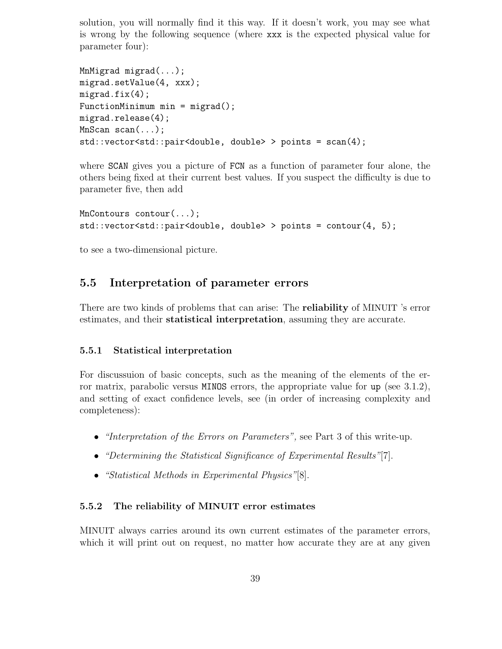solution, you will normally find it this way. If it doesn't work, you may see what is wrong by the following sequence (where xxx is the expected physical value for parameter four):

```
MnMigrad migrad(...);
migrad.setValue(4, xxx);
migrad.fix(4);FunctionMinimum min = migrad();
migrad.release(4);
MnScan scan(...);
std::vector<std::pair<double, double> > points = scan(4);
```
where SCAN gives you a picture of FCN as a function of parameter four alone, the others being fixed at their current best values. If you suspect the difficulty is due to parameter five, then add

```
MnContours contour(...);
std::vector<std::pair<double, double> > points = contour(4, 5);
```
to see a two-dimensional picture.

## 5.5 Interpretation of parameter errors

There are two kinds of problems that can arise: The reliability of MINUIT 's error estimates, and their statistical interpretation, assuming they are accurate.

#### 5.5.1 Statistical interpretation

For discussuion of basic concepts, such as the meaning of the elements of the error matrix, parabolic versus MINOS errors, the appropriate value for up (see 3.1.2), and setting of exact confidence levels, see (in order of increasing complexity and completeness):

- *"Interpretation of the Errors on Parameters"*, see Part 3 of this write-up.
- "Determining the Statistical Significance of Experimental Results"[7].
- "Statistical Methods in Experimental Physics"[8].

#### 5.5.2 The reliability of MINUIT error estimates

MINUIT always carries around its own current estimates of the parameter errors, which it will print out on request, no matter how accurate they are at any given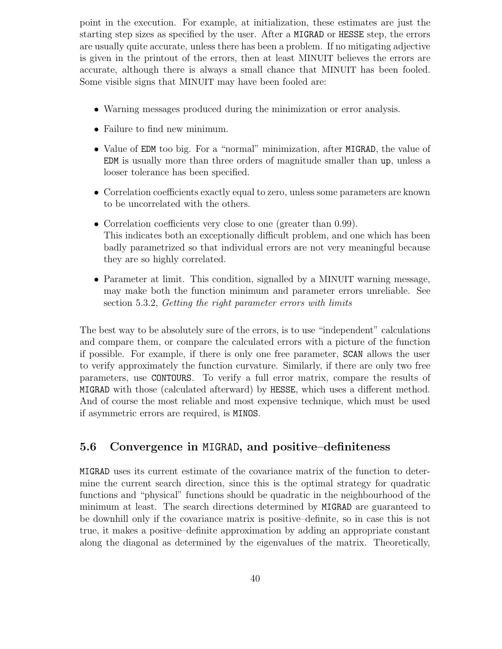point in the execution. For example, at initialization, these estimates are just the starting step sizes as specified by the user. After a MIGRAD or HESSE step, the errors are usually quite accurate, unless there has been a problem. If no mitigating adjective is given in the printout of the errors, then at least MINUIT believes the errors are accurate, although there is always a small chance that MINUIT has been fooled. Some visible signs that MINUIT may have been fooled are:

- Warning messages produced during the minimization or error analysis.
- Failure to find new minimum.
- Value of EDM too big. For a "normal" minimization, after MIGRAD, the value of EDM is usually more than three orders of magnitude smaller than up, unless a looser tolerance has been specified.
- Correlation coefficients exactly equal to zero, unless some parameters are known to be uncorrelated with the others.
- Correlation coefficients very close to one (greater than 0.99). This indicates both an exceptionally difficult problem, and one which has been badly parametrized so that individual errors are not very meaningful because they are so highly correlated.
- Parameter at limit. This condition, signalled by a MINUIT warning message, may make both the function minimum and parameter errors unreliable. See section 5.3.2, Getting the right parameter errors with limits

The best way to be absolutely sure of the errors, is to use "independent" calculations and compare them, or compare the calculated errors with a picture of the function if possible. For example, if there is only one free parameter, SCAN allows the user to verify approximately the function curvature. Similarly, if there are only two free parameters, use CONTOURS. To verify a full error matrix, compare the results of MIGRAD with those (calculated afterward) by HESSE, which uses a different method. And of course the most reliable and most expensive technique, which must be used if asymmetric errors are required, is MINOS.

## 5.6 Convergence in MIGRAD, and positive–definiteness

MIGRAD uses its current estimate of the covariance matrix of the function to determine the current search direction, since this is the optimal strategy for quadratic functions and "physical" functions should be quadratic in the neighbourhood of the minimum at least. The search directions determined by MIGRAD are guaranteed to be downhill only if the covariance matrix is positive–definite, so in case this is not true, it makes a positive–definite approximation by adding an appropriate constant along the diagonal as determined by the eigenvalues of the matrix. Theoretically,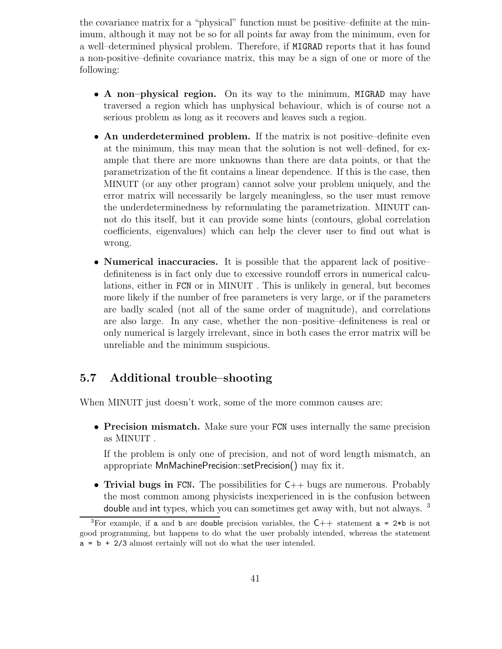the covariance matrix for a "physical" function must be positive–definite at the minimum, although it may not be so for all points far away from the minimum, even for a well–determined physical problem. Therefore, if MIGRAD reports that it has found a non-positive–definite covariance matrix, this may be a sign of one or more of the following:

- A non–physical region. On its way to the minimum, MIGRAD may have traversed a region which has unphysical behaviour, which is of course not a serious problem as long as it recovers and leaves such a region.
- An underdetermined problem. If the matrix is not positive–definite even at the minimum, this may mean that the solution is not well–defined, for example that there are more unknowns than there are data points, or that the parametrization of the fit contains a linear dependence. If this is the case, then MINUIT (or any other program) cannot solve your problem uniquely, and the error matrix will necessarily be largely meaningless, so the user must remove the underdeterminedness by reformulating the parametrization. MINUIT cannot do this itself, but it can provide some hints (contours, global correlation coefficients, eigenvalues) which can help the clever user to find out what is wrong.
- Numerical inaccuracies. It is possible that the apparent lack of positive– definiteness is in fact only due to excessive roundoff errors in numerical calculations, either in FCN or in MINUIT . This is unlikely in general, but becomes more likely if the number of free parameters is very large, or if the parameters are badly scaled (not all of the same order of magnitude), and correlations are also large. In any case, whether the non–positive–definiteness is real or only numerical is largely irrelevant, since in both cases the error matrix will be unreliable and the minimum suspicious.

# 5.7 Additional trouble–shooting

When MINUIT just doesn't work, some of the more common causes are:

• Precision mismatch. Make sure your FCN uses internally the same precision as MINUIT .

If the problem is only one of precision, and not of word length mismatch, an appropriate MnMachinePrecision::setPrecision() may fix it.

• Trivial bugs in FCN. The possibilities for  $C_{++}$  bugs are numerous. Probably the most common among physicists inexperienced in is the confusion between double and int types, which you can sometimes get away with, but not always. <sup>3</sup>

<sup>&</sup>lt;sup>3</sup>For example, if a and b are double precision variables, the  $C++$  statement a = 2\*b is not good programming, but happens to do what the user probably intended, whereas the statement  $a = b + 2/3$  almost certainly will not do what the user intended.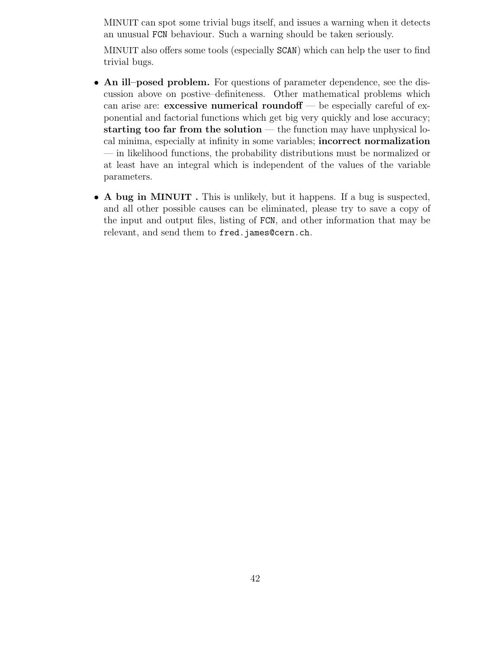MINUIT can spot some trivial bugs itself, and issues a warning when it detects an unusual FCN behaviour. Such a warning should be taken seriously.

MINUIT also offers some tools (especially SCAN) which can help the user to find trivial bugs.

- An ill-posed problem. For questions of parameter dependence, see the discussion above on postive–definiteness. Other mathematical problems which can arise are: **excessive numerical roundoff**  $\rightarrow$  be especially careful of exponential and factorial functions which get big very quickly and lose accuracy; starting too far from the solution  $-$  the function may have unphysical local minima, especially at infinity in some variables; incorrect normalization — in likelihood functions, the probability distributions must be normalized or at least have an integral which is independent of the values of the variable parameters.
- <sup>A</sup> bug in <sup>M</sup>INUIT . This is unlikely, but it happens. If <sup>a</sup> bug is suspected, and all other possible causes can be eliminated, please try to save a copy of the input and output files, listing of FCN, and other information that may be relevant, and send them to fred.james@cern.ch.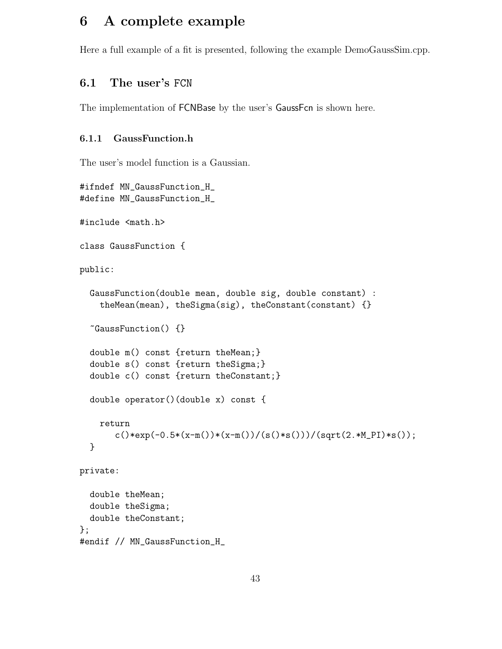# 6 A complete example

Here a full example of a fit is presented, following the example DemoGaussSim.cpp.

## 6.1 The user's FCN

The implementation of FCNBase by the user's GaussFcn is shown here.

#### 6.1.1 GaussFunction.h

The user's model function is a Gaussian.

```
#ifndef MN_GaussFunction_H_
#define MN_GaussFunction_H_
#include <math.h>
class GaussFunction {
public:
  GaussFunction(double mean, double sig, double constant) :
    theMean(mean), theSigma(sig), theConstant(constant) {}
  ~GaussFunction() {}
  double m() const {return theMean;}
  double s() const {return theSigma;}
  double c() const {return theConstant;}
  double operator()(double x) const {
    return
       c() * exp(-0.5*(x-m()) * (x-m()) / (s() * s())) / (sqrt(2.*M_PI) * s());
  }
private:
  double theMean;
  double theSigma;
  double theConstant;
};
#endif // MN_GaussFunction_H_
```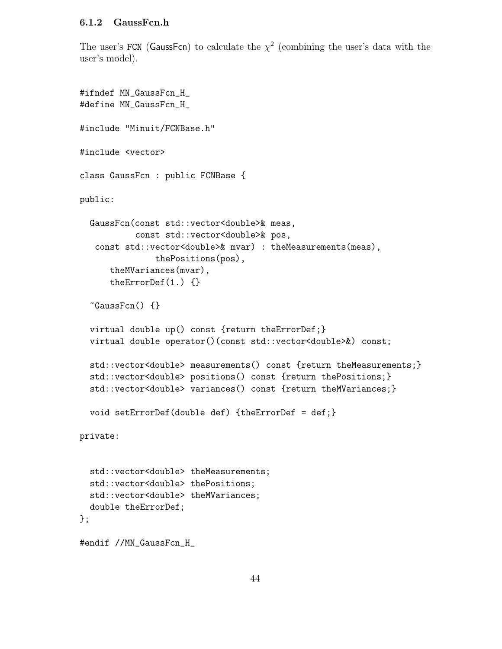#### 6.1.2 GaussFcn.h

The user's FCN (GaussFcn) to calculate the  $\chi^2$  (combining the user's data with the user's model).

```
#ifndef MN_GaussFcn_H_
#define MN_GaussFcn_H_
#include "Minuit/FCNBase.h"
#include <vector>
class GaussFcn : public FCNBase {
public:
  GaussFcn(const std::vector<double>& meas,
           const std::vector<double>& pos,
   const std::vector<double>& mvar) : theMeasurements(meas),
               thePositions(pos),
      theMVariances(mvar),
      theErrorDef(1.) {}
  \tilde{\text{Gauss}}Fcn() {}
  virtual double up() const {return theErrorDef;}
  virtual double operator()(const std::vector<double>&) const;
  std::vector<double> measurements() const {return theMeasurements;}
  std::vector<double> positions() const {return thePositions;}
  std::vector<double> variances() const {return theMVariances;}
  void setErrorDef(double def) {theErrorDef = def;}
private:
  std::vector<double> theMeasurements;
  std::vector<double> thePositions;
  std::vector<double> theMVariances;
  double theErrorDef;
};
#endif //MN_GaussFcn_H_
```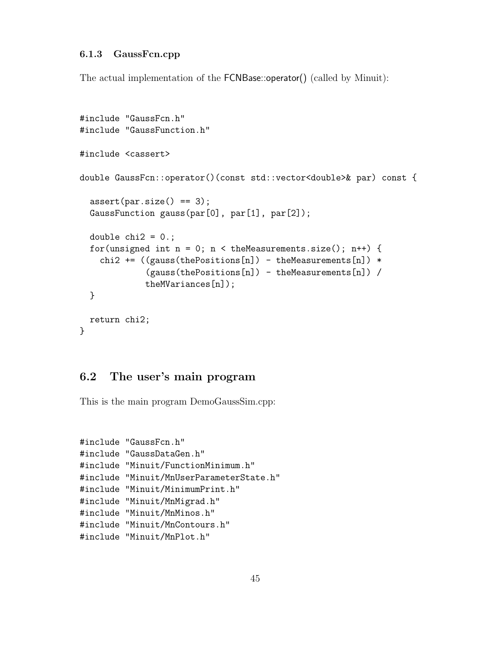#### 6.1.3 GaussFcn.cpp

The actual implementation of the FCNBase::operator() (called by Minuit):

```
#include "GaussFcn.h"
#include "GaussFunction.h"
#include <cassert>
double GaussFcn::operator()(const std::vector<double>& par) const {
  assert(par.size() == 3);GaussFunction gauss(par[0], par[1], par[2]);
  double chi2 = 0.;
  for(unsigned int n = 0; n < the Measurements.size(); n<sup>++</sup>) {
    chi2 += ((gauss(thePositions[n]) - theMeasurements[n]) *(gauss(thePositions[n]) - theMeasurements[n]) /
             theMVariances[n]);
  }
  return chi2;
}
```
## 6.2 The user's main program

This is the main program DemoGaussSim.cpp:

```
#include "GaussFcn.h"
#include "GaussDataGen.h"
#include "Minuit/FunctionMinimum.h"
#include "Minuit/MnUserParameterState.h"
#include "Minuit/MinimumPrint.h"
#include "Minuit/MnMigrad.h"
#include "Minuit/MnMinos.h"
#include "Minuit/MnContours.h"
#include "Minuit/MnPlot.h"
```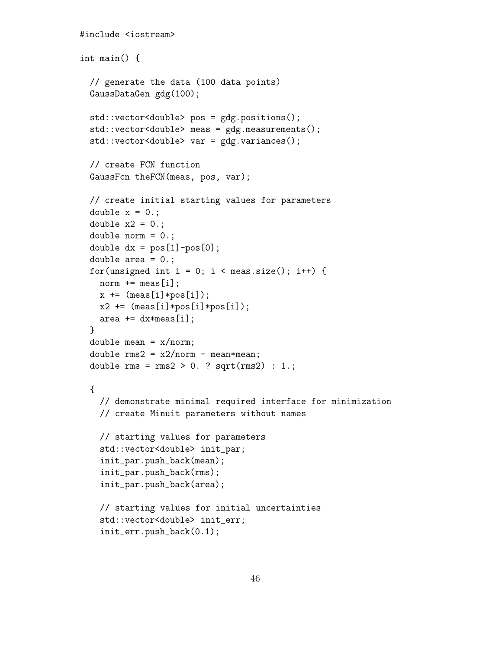```
#include <iostream>
int main() {
  // generate the data (100 data points)
  GaussDataGen gdg(100);
  std::vector<double> pos = gdg.positions();
  std::vector<double> meas = gdg.measurements();
  std::vector<double> var = gdg.variances();
  // create FCN function
  GaussFcn theFCN(meas, pos, var);
  // create initial starting values for parameters
  double x = 0.;
  double x2 = 0.;
  double norm = 0.;
  double dx = pos[1] - pos[0];
  double area = 0.;
  for(unsigned int i = 0; i < meas.size(); i++) {
    norm += meas[i];
    x += (meas[i]*pos[i]);x2 \leftarrow \text{meas}[i]*pos[i]*pos[i]);area += dx*meas[i];
  }
  double mean = x/norm;
  double rms2 = x2/norm - mean*mean;
  double rms = rms2 > 0. ? sqrt(rms2) : 1.;
  {
    // demonstrate minimal required interface for minimization
    // create Minuit parameters without names
    // starting values for parameters
    std::vector<double> init_par;
    init_par.push_back(mean);
    init_par.push_back(rms);
    init_par.push_back(area);
    // starting values for initial uncertainties
    std::vector<double> init_err;
    init_err.push_back(0.1);
```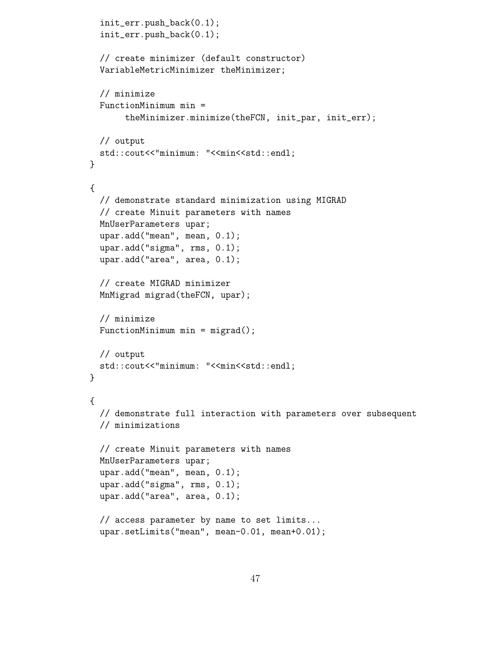```
init_err.push_back(0.1);
  init_err.push_back(0.1);
 // create minimizer (default constructor)
 VariableMetricMinimizer theMinimizer;
 // minimize
 FunctionMinimum min =
       theMinimizer.minimize(theFCN, init_par, init_err);
 // output
 std::cout<<"minimum: "<<min<<std::endl;
}
{
 // demonstrate standard minimization using MIGRAD
 // create Minuit parameters with names
 MnUserParameters upar;
 upar.add("mean", mean, 0.1);
 upar.add("sigma", rms, 0.1);
 upar.add("area", area, 0.1);
 // create MIGRAD minimizer
 MnMigrad migrad(theFCN, upar);
 // minimize
 FunctionMinimum min = migrad();
 // output
 std::cout<<"minimum: "<<min<<std::endl;
}
{
 // demonstrate full interaction with parameters over subsequent
 // minimizations
 // create Minuit parameters with names
 MnUserParameters upar;
 upar.add("mean", mean, 0.1);
 upar.add("sigma", rms, 0.1);
 upar.add("area", area, 0.1);
  // access parameter by name to set limits...
 upar.setLimits("mean", mean-0.01, mean+0.01);
```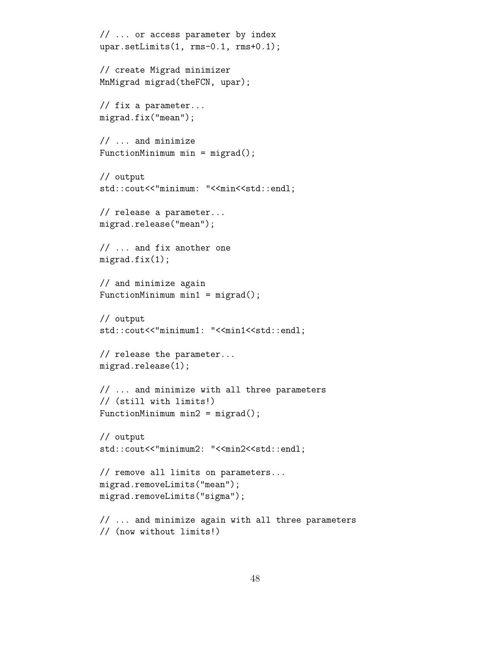```
// ... or access parameter by index
upar.setLimits(1, rms-0.1, rms+0.1);
// create Migrad minimizer
MnMigrad migrad(theFCN, upar);
// fix a parameter...
migrad.fix("mean");
// ... and minimize
FunctionMinimum min = migrad();
// output
std::cout<<"minimum: "<<min<<std::endl;
// release a parameter...
migrad.release("mean");
// ... and fix another one
migrad.fix(1);
// and minimize again
FunctionMinimum min1 = migrad();
// output
std::cout<<"minimum1: "<<min1<<std::endl;
// release the parameter...
migrad.release(1);
// ... and minimize with all three parameters
// (still with limits!)
FunctionMinimum min2 = migrad();
// output
\mathtt{std}::\mathtt{cout<<"minimum2}: \texttt{``<min2<<std::end1};// remove all limits on parameters...
migrad.removeLimits("mean");
migrad.removeLimits("sigma");
// ... and minimize again with all three parameters
// (now without limits!)
```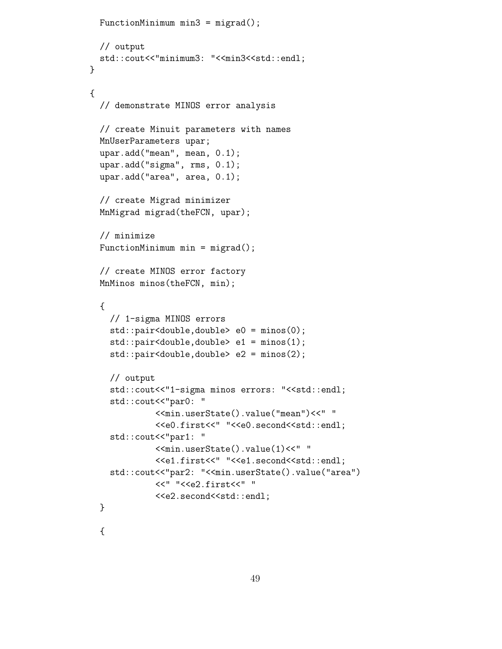```
FunctionMinimum min3 = migrad();
  // output
 std::cout<<"minimum3: "<<min3<<std::endl;
}
{
  // demonstrate MINOS error analysis
  // create Minuit parameters with names
  MnUserParameters upar;
  upar.add("mean", mean, 0.1);
  upar.add("sigma", rms, 0.1);
  upar.add("area", area, 0.1);
  // create Migrad minimizer
  MnMigrad migrad(theFCN, upar);
  // minimize
  FunctionMinimum min = migrad();
  // create MINOS error factory
  MnMinos minos(theFCN, min);
  {
    // 1-sigma MINOS errors
    std::pair<double,double> e0 = minos(0);
    std::pair<double,double> e1 = minos(1);
    std::pair<double,double> e2 = minos(2);
    // output
    std::cout<<"1-sigma minos errors: "<<std::endl;
    std::cout<<"par0: "
             <<min.userState().value("mean")<<" "
             <<e0.first<<" "<<e0.second<<std::endl;
    std::cout<<"par1: "
             <<min.userState().value(1)<<" "
             <<e1.first<<" "<<e1.second<<std::endl;
    std::cout<<"par2: "<<min.userState().value("area")
             <<" "<<e2.first<<" "
             <<e2.second<<std::endl;
  }
```
{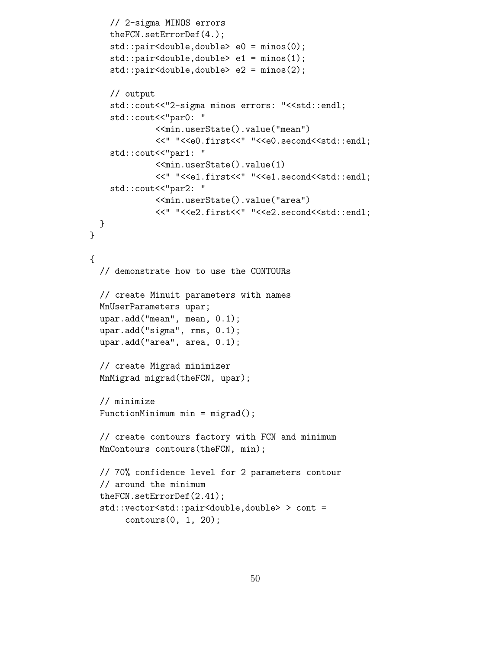```
// 2-sigma MINOS errors
   theFCN.setErrorDef(4.);
    std::pair<double,double> e0 = minos(0);
   std::pair<double,double> e1 = minos(1);
   std::pair<double,double> e2 = minos(2);
   // output
   std::cout<<"2-sigma minos errors: "<<std::endl;
    std::cout<<"par0: "
             <<min.userState().value("mean")
             <<" "<<e0.first<<" "<<e0.second<<std::endl;
    std::cout<<"par1: "
             <<min.userState().value(1)
             <<" "<<e1.first<<" "<<e1.second<<std::endl;
    std::cout<<"par2: "
             <<min.userState().value("area")
             <<" "<<e2.first<<" "<<e2.second<<std::endl;
 }
}
{
 // demonstrate how to use the CONTOURs
 // create Minuit parameters with names
 MnUserParameters upar;
 upar.add("mean", mean, 0.1);
 upar.add("sigma", rms, 0.1);
 upar.add("area", area, 0.1);
 // create Migrad minimizer
 MnMigrad migrad(theFCN, upar);
 // minimize
 FunctionMinimum min = migrad();
 // create contours factory with FCN and minimum
 MnContours contours(theFCN, min);
 // 70% confidence level for 2 parameters contour
  // around the minimum
 theFCN.setErrorDef(2.41);
  std::vector<std::pair<double,double> > cont =
       contours(0, 1, 20);
```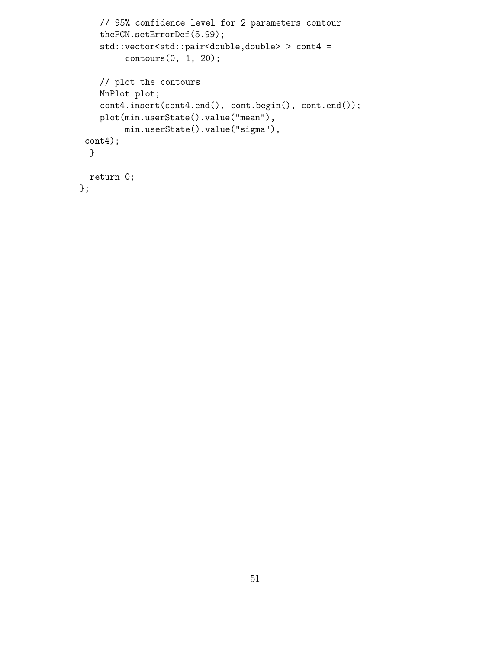```
// 95% confidence level for 2 parameters contour
   theFCN.setErrorDef(5.99);
   std::vector<std::pair<double,double> > cont4 =
         contours(0, 1, 20);
   // plot the contours
   MnPlot plot;
   cont4.insert(cont4.end(), cont.begin(), cont.end());
   plot(min.userState().value("mean"),
        min.userState().value("sigma"),
 cont4);
 }
 return 0;
};
```